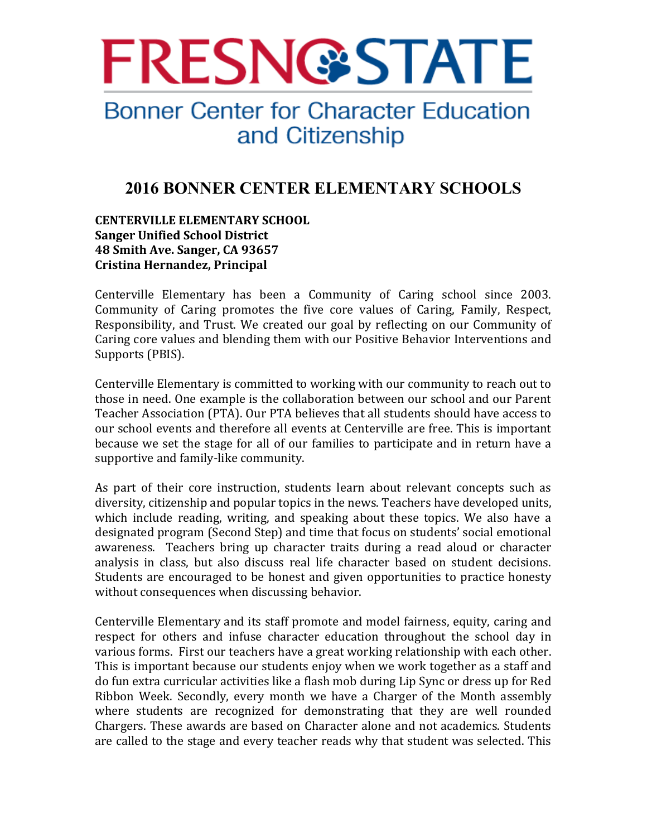

# **Bonner Center for Character Education** and Citizenship

# **2016 BONNER CENTER ELEMENTARY SCHOOLS**

# **CENTERVILLE ELEMENTARY SCHOOL Sanger Unified School District 48 Smith Ave. Sanger, CA 93657 Cristina Hernandez, Principal**

Centerville Elementary has been a Community of Caring school since 2003. Community of Caring promotes the five core values of Caring, Family, Respect, Responsibility, and Trust. We created our goal by reflecting on our Community of Caring core values and blending them with our Positive Behavior Interventions and Supports (PBIS).

Centerville Elementary is committed to working with our community to reach out to those in need. One example is the collaboration between our school and our Parent Teacher Association (PTA). Our PTA believes that all students should have access to our school events and therefore all events at Centerville are free. This is important because we set the stage for all of our families to participate and in return have a supportive and family-like community.

As part of their core instruction, students learn about relevant concepts such as diversity, citizenship and popular topics in the news. Teachers have developed units, which include reading, writing, and speaking about these topics. We also have a designated program (Second Step) and time that focus on students' social emotional awareness. Teachers bring up character traits during a read aloud or character analysis in class, but also discuss real life character based on student decisions. Students are encouraged to be honest and given opportunities to practice honesty without consequences when discussing behavior.

Centerville Elementary and its staff promote and model fairness, equity, caring and respect for others and infuse character education throughout the school day in various forms. First our teachers have a great working relationship with each other. This is important because our students enjoy when we work together as a staff and do fun extra curricular activities like a flash mob during Lip Sync or dress up for Red Ribbon Week. Secondly, every month we have a Charger of the Month assembly where students are recognized for demonstrating that they are well rounded Chargers. These awards are based on Character alone and not academics. Students are called to the stage and every teacher reads why that student was selected. This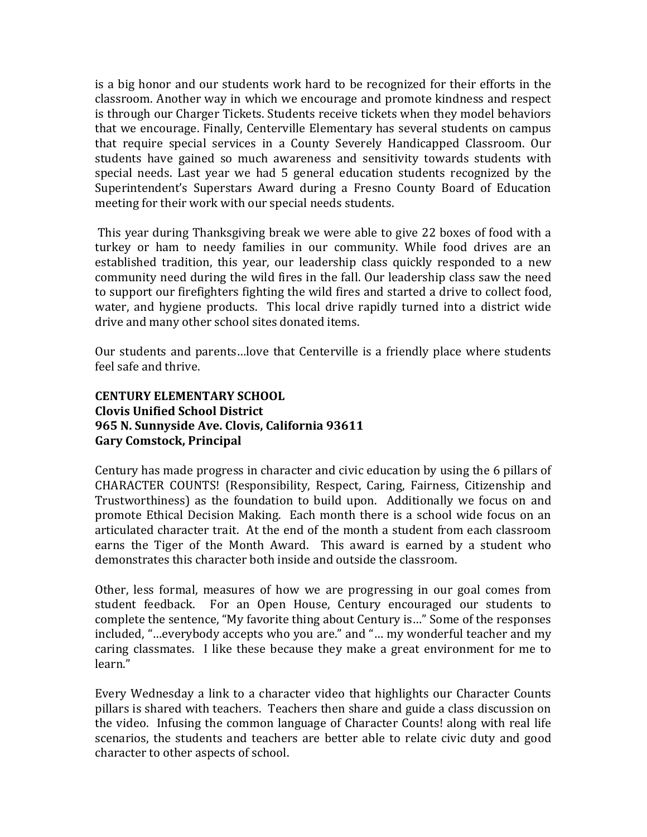is a big honor and our students work hard to be recognized for their efforts in the classroom. Another way in which we encourage and promote kindness and respect is through our Charger Tickets. Students receive tickets when they model behaviors that we encourage. Finally, Centerville Elementary has several students on campus that require special services in a County Severely Handicapped Classroom. Our students have gained so much awareness and sensitivity towards students with special needs. Last year we had 5 general education students recognized by the Superintendent's Superstars Award during a Fresno County Board of Education meeting for their work with our special needs students.

This year during Thanksgiving break we were able to give 22 boxes of food with a turkey or ham to needy families in our community. While food drives are an established tradition, this year, our leadership class quickly responded to a new community need during the wild fires in the fall. Our leadership class saw the need to support our firefighters fighting the wild fires and started a drive to collect food, water, and hygiene products. This local drive rapidly turned into a district wide drive and many other school sites donated items.

Our students and parents... love that Centerville is a friendly place where students feel safe and thrive.

# **CENTURY ELEMENTARY SCHOOL Clovis Unified School District 965 N. Sunnyside Ave. Clovis, California 93611 Gary Comstock, Principal**

Century has made progress in character and civic education by using the 6 pillars of CHARACTER COUNTS! (Responsibility, Respect, Caring, Fairness, Citizenship and Trustworthiness) as the foundation to build upon. Additionally we focus on and promote Ethical Decision Making. Each month there is a school wide focus on an articulated character trait. At the end of the month a student from each classroom earns the Tiger of the Month Award. This award is earned by a student who demonstrates this character both inside and outside the classroom.

Other, less formal, measures of how we are progressing in our goal comes from student feedback. For an Open House, Century encouraged our students to complete the sentence, "My favorite thing about Century is..." Some of the responses included, "...everybody accepts who you are." and "... my wonderful teacher and my caring classmates. I like these because they make a great environment for me to learn."

Every Wednesday a link to a character video that highlights our Character Counts pillars is shared with teachers. Teachers then share and guide a class discussion on the video. Infusing the common language of Character Counts! along with real life scenarios, the students and teachers are better able to relate civic duty and good character to other aspects of school.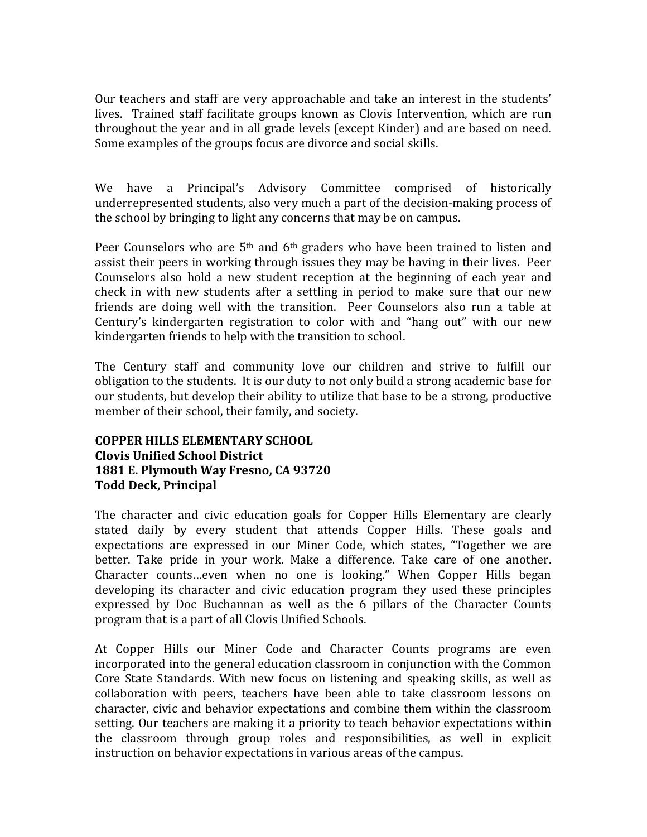Our teachers and staff are very approachable and take an interest in the students' lives. Trained staff facilitate groups known as Clovis Intervention, which are run throughout the year and in all grade levels (except Kinder) and are based on need. Some examples of the groups focus are divorce and social skills.

We have a Principal's Advisory Committee comprised of historically underrepresented students, also very much a part of the decision-making process of the school by bringing to light any concerns that may be on campus.

Peer Counselors who are  $5<sup>th</sup>$  and  $6<sup>th</sup>$  graders who have been trained to listen and assist their peers in working through issues they may be having in their lives. Peer Counselors also hold a new student reception at the beginning of each year and check in with new students after a settling in period to make sure that our new friends are doing well with the transition. Peer Counselors also run a table at Century's kindergarten registration to color with and "hang out" with our new kindergarten friends to help with the transition to school.

The Century staff and community love our children and strive to fulfill our obligation to the students. It is our duty to not only build a strong academic base for our students, but develop their ability to utilize that base to be a strong, productive member of their school, their family, and society.

# **COPPER HILLS ELEMENTARY SCHOOL Clovis Unified School District 1881 E. Plymouth Way Fresno, CA 93720 Todd Deck, Principal**

The character and civic education goals for Copper Hills Elementary are clearly stated daily by every student that attends Copper Hills. These goals and expectations are expressed in our Miner Code, which states, "Together we are better. Take pride in your work. Make a difference. Take care of one another. Character counts...even when no one is looking." When Copper Hills began developing its character and civic education program they used these principles expressed by Doc Buchannan as well as the 6 pillars of the Character Counts program that is a part of all Clovis Unified Schools.

At Copper Hills our Miner Code and Character Counts programs are even incorporated into the general education classroom in conjunction with the Common Core State Standards. With new focus on listening and speaking skills, as well as collaboration with peers, teachers have been able to take classroom lessons on character, civic and behavior expectations and combine them within the classroom setting. Our teachers are making it a priority to teach behavior expectations within the classroom through group roles and responsibilities, as well in explicit instruction on behavior expectations in various areas of the campus.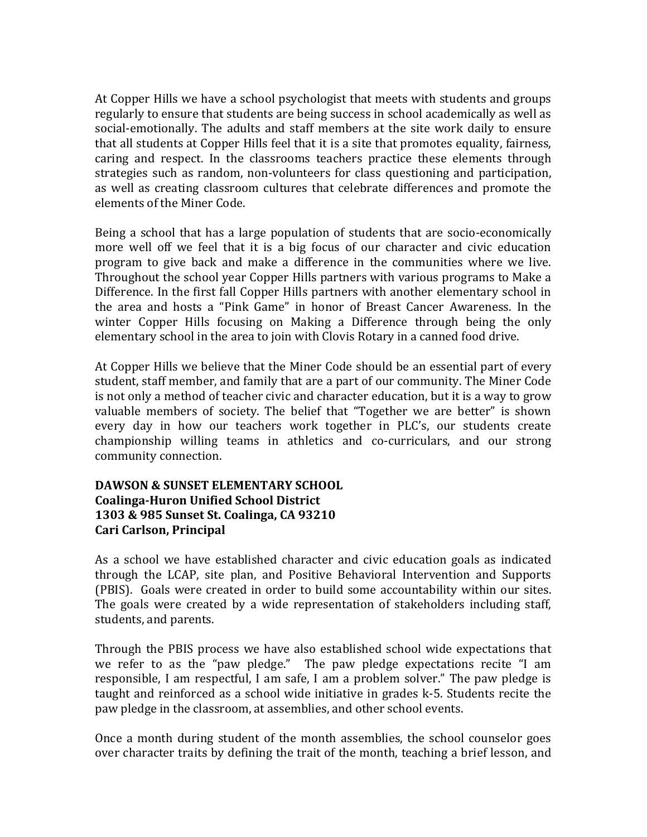At Copper Hills we have a school psychologist that meets with students and groups regularly to ensure that students are being success in school academically as well as social-emotionally. The adults and staff members at the site work daily to ensure that all students at Copper Hills feel that it is a site that promotes equality, fairness, caring and respect. In the classrooms teachers practice these elements through strategies such as random, non-volunteers for class questioning and participation, as well as creating classroom cultures that celebrate differences and promote the elements of the Miner Code.

Being a school that has a large population of students that are socio-economically more well off we feel that it is a big focus of our character and civic education program to give back and make a difference in the communities where we live. Throughout the school year Copper Hills partners with various programs to Make a Difference. In the first fall Copper Hills partners with another elementary school in the area and hosts a "Pink Game" in honor of Breast Cancer Awareness. In the winter Copper Hills focusing on Making a Difference through being the only elementary school in the area to join with Clovis Rotary in a canned food drive.

At Copper Hills we believe that the Miner Code should be an essential part of every student, staff member, and family that are a part of our community. The Miner Code is not only a method of teacher civic and character education, but it is a way to grow valuable members of society. The belief that "Together we are better" is shown every day in how our teachers work together in PLC's, our students create championship willing teams in athletics and co-curriculars, and our strong community connection.

# **DAWSON & SUNSET ELEMENTARY SCHOOL Coalinga-Huron Unified School District 1303 & 985 Sunset St. Coalinga, CA 93210 Cari Carlson, Principal**

As a school we have established character and civic education goals as indicated through the LCAP, site plan, and Positive Behavioral Intervention and Supports (PBIS). Goals were created in order to build some accountability within our sites. The goals were created by a wide representation of stakeholders including staff, students, and parents.

Through the PBIS process we have also established school wide expectations that we refer to as the "paw pledge." The paw pledge expectations recite "I am responsible, I am respectful, I am safe, I am a problem solver." The paw pledge is taught and reinforced as a school wide initiative in grades k-5. Students recite the paw pledge in the classroom, at assemblies, and other school events.

Once a month during student of the month assemblies, the school counselor goes over character traits by defining the trait of the month, teaching a brief lesson, and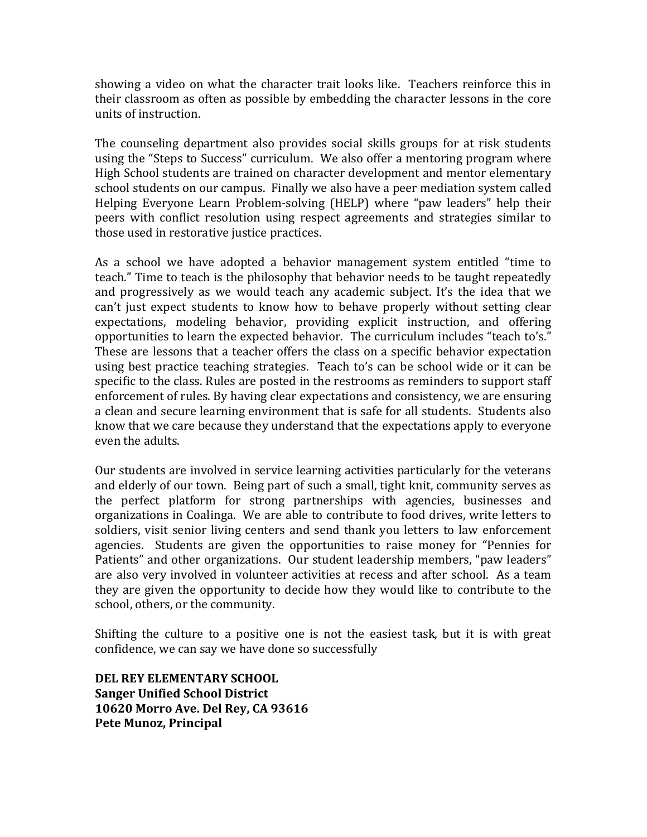showing a video on what the character trait looks like. Teachers reinforce this in their classroom as often as possible by embedding the character lessons in the core units of instruction.

The counseling department also provides social skills groups for at risk students using the "Steps to Success" curriculum. We also offer a mentoring program where High School students are trained on character development and mentor elementary school students on our campus. Finally we also have a peer mediation system called Helping Everyone Learn Problem-solving (HELP) where "paw leaders" help their peers with conflict resolution using respect agreements and strategies similar to those used in restorative justice practices.

As a school we have adopted a behavior management system entitled "time to teach." Time to teach is the philosophy that behavior needs to be taught repeatedly and progressively as we would teach any academic subject. It's the idea that we can't just expect students to know how to behave properly without setting clear expectations, modeling behavior, providing explicit instruction, and offering opportunities to learn the expected behavior. The curriculum includes "teach to's." These are lessons that a teacher offers the class on a specific behavior expectation using best practice teaching strategies. Teach to's can be school wide or it can be specific to the class. Rules are posted in the restrooms as reminders to support staff enforcement of rules. By having clear expectations and consistency, we are ensuring a clean and secure learning environment that is safe for all students. Students also know that we care because they understand that the expectations apply to everyone even the adults.

Our students are involved in service learning activities particularly for the veterans and elderly of our town. Being part of such a small, tight knit, community serves as the perfect platform for strong partnerships with agencies, businesses and organizations in Coalinga. We are able to contribute to food drives, write letters to soldiers, visit senior living centers and send thank you letters to law enforcement agencies. Students are given the opportunities to raise money for "Pennies for Patients" and other organizations. Our student leadership members, "paw leaders" are also very involved in volunteer activities at recess and after school. As a team they are given the opportunity to decide how they would like to contribute to the school, others, or the community.

Shifting the culture to a positive one is not the easiest task, but it is with great confidence, we can say we have done so successfully

**DEL REY ELEMENTARY SCHOOL Sanger Unified School District 10620 Morro Ave. Del Rey, CA 93616 Pete Munoz, Principal**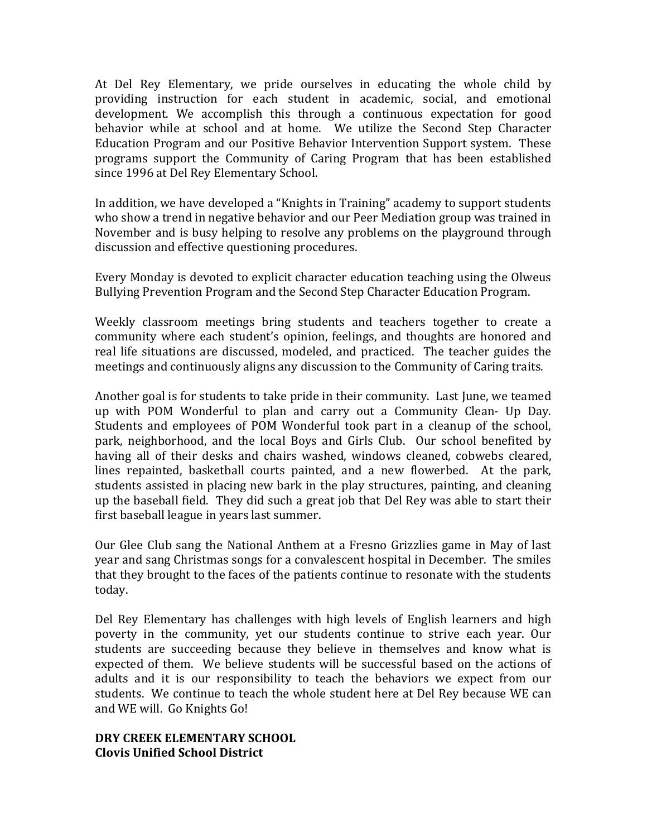At Del Rey Elementary, we pride ourselves in educating the whole child by providing instruction for each student in academic, social, and emotional development. We accomplish this through a continuous expectation for good behavior while at school and at home. We utilize the Second Step Character Education Program and our Positive Behavior Intervention Support system. These programs support the Community of Caring Program that has been established since 1996 at Del Rey Elementary School.

In addition, we have developed a "Knights in Training" academy to support students who show a trend in negative behavior and our Peer Mediation group was trained in November and is busy helping to resolve any problems on the playground through discussion and effective questioning procedures.

Every Monday is devoted to explicit character education teaching using the Olweus Bullying Prevention Program and the Second Step Character Education Program.

Weekly classroom meetings bring students and teachers together to create a community where each student's opinion, feelings, and thoughts are honored and real life situations are discussed, modeled, and practiced. The teacher guides the meetings and continuously aligns any discussion to the Community of Caring traits.

Another goal is for students to take pride in their community. Last June, we teamed up with POM Wonderful to plan and carry out a Community Clean- Up Day. Students and employees of POM Wonderful took part in a cleanup of the school, park, neighborhood, and the local Boys and Girls Club. Our school benefited by having all of their desks and chairs washed, windows cleaned, cobwebs cleared, lines repainted, basketball courts painted, and a new flowerbed. At the park, students assisted in placing new bark in the play structures, painting, and cleaning up the baseball field. They did such a great job that Del Rey was able to start their first baseball league in years last summer.

Our Glee Club sang the National Anthem at a Fresno Grizzlies game in May of last year and sang Christmas songs for a convalescent hospital in December. The smiles that they brought to the faces of the patients continue to resonate with the students today. 

Del Rey Elementary has challenges with high levels of English learners and high poverty in the community, yet our students continue to strive each year. Our students are succeeding because they believe in themselves and know what is expected of them. We believe students will be successful based on the actions of adults and it is our responsibility to teach the behaviors we expect from our students. We continue to teach the whole student here at Del Rey because WE can and WE will. Go Knights Go!

#### **DRY CREEK ELEMENTARY SCHOOL Clovis Unified School District**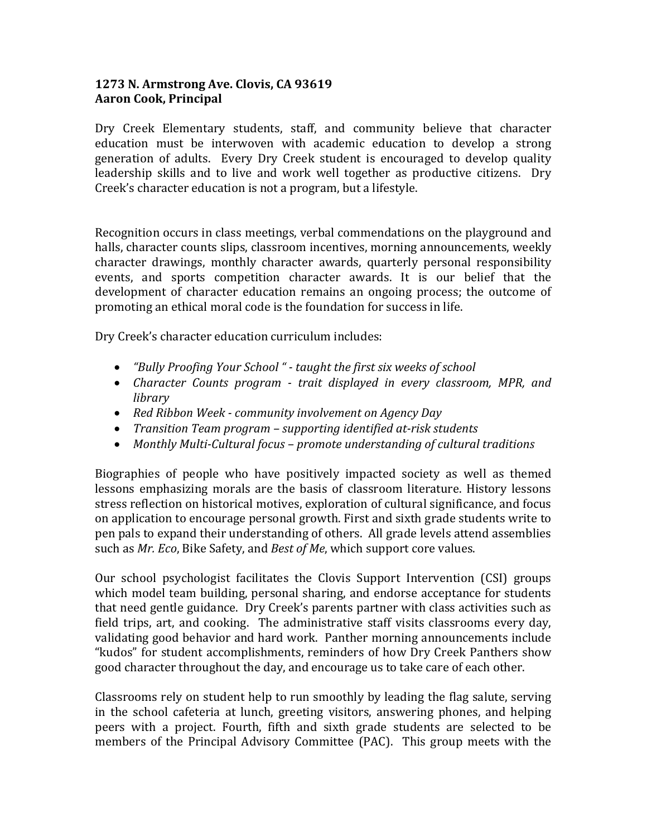# **1273 N. Armstrong Ave. Clovis, CA 93619 Aaron Cook, Principal**

Dry Creek Elementary students, staff, and community believe that character education must be interwoven with academic education to develop a strong generation of adults. Every Dry Creek student is encouraged to develop quality leadership skills and to live and work well together as productive citizens. Dry Creek's character education is not a program, but a lifestyle.

Recognition occurs in class meetings, verbal commendations on the playground and halls, character counts slips, classroom incentives, morning announcements, weekly character drawings, monthly character awards, quarterly personal responsibility events, and sports competition character awards. It is our belief that the development of character education remains an ongoing process; the outcome of promoting an ethical moral code is the foundation for success in life.

Dry Creek's character education curriculum includes:

- *"Bully Proofing Your School" taught the first six weeks of school*
- *Character Counts program trait displayed in every classroom, MPR, and library*
- Red Ribbon Week *community* involvement on Agency Day
- Transition Team program *supporting identified at-risk students*
- Monthly Multi-Cultural focus promote understanding of cultural traditions

Biographies of people who have positively impacted society as well as themed lessons emphasizing morals are the basis of classroom literature. History lessons stress reflection on historical motives, exploration of cultural significance, and focus on application to encourage personal growth. First and sixth grade students write to pen pals to expand their understanding of others. All grade levels attend assemblies such as *Mr. Eco*, Bike Safety, and *Best of Me*, which support core values.

Our school psychologist facilitates the Clovis Support Intervention (CSI) groups which model team building, personal sharing, and endorse acceptance for students that need gentle guidance. Dry Creek's parents partner with class activities such as field trips, art, and cooking. The administrative staff visits classrooms every day, validating good behavior and hard work. Panther morning announcements include "kudos" for student accomplishments, reminders of how Dry Creek Panthers show good character throughout the day, and encourage us to take care of each other.

Classrooms rely on student help to run smoothly by leading the flag salute, serving in the school cafeteria at lunch, greeting visitors, answering phones, and helping peers with a project. Fourth, fifth and sixth grade students are selected to be members of the Principal Advisory Committee (PAC). This group meets with the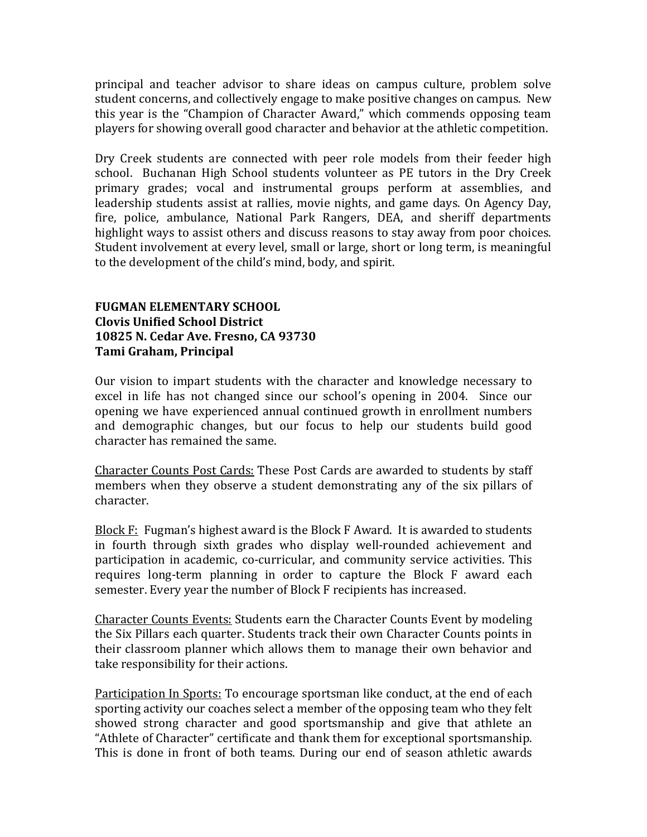principal and teacher advisor to share ideas on campus culture, problem solve student concerns, and collectively engage to make positive changes on campus. New this year is the "Champion of Character Award," which commends opposing team players for showing overall good character and behavior at the athletic competition.

Dry Creek students are connected with peer role models from their feeder high school. Buchanan High School students volunteer as PE tutors in the Dry Creek primary grades; vocal and instrumental groups perform at assemblies, and leadership students assist at rallies, movie nights, and game days. On Agency Day, fire, police, ambulance, National Park Rangers, DEA, and sheriff departments highlight ways to assist others and discuss reasons to stay away from poor choices. Student involvement at every level, small or large, short or long term, is meaningful to the development of the child's mind, body, and spirit.

# **FUGMAN ELEMENTARY SCHOOL Clovis Unified School District 10825 N. Cedar Ave. Fresno, CA 93730 Tami Graham, Principal**

Our vision to impart students with the character and knowledge necessary to excel in life has not changed since our school's opening in 2004. Since our opening we have experienced annual continued growth in enrollment numbers and demographic changes, but our focus to help our students build good character has remained the same.

Character Counts Post Cards: These Post Cards are awarded to students by staff members when they observe a student demonstrating any of the six pillars of character.

Block  $F:$  Fugman's highest award is the Block  $F$  Award. It is awarded to students in fourth through sixth grades who display well-rounded achievement and participation in academic, co-curricular, and community service activities. This requires long-term planning in order to capture the Block F award each semester. Every year the number of Block F recipients has increased.

Character Counts Events: Students earn the Character Counts Event by modeling the Six Pillars each quarter. Students track their own Character Counts points in their classroom planner which allows them to manage their own behavior and take responsibility for their actions.

Participation In Sports: To encourage sportsman like conduct, at the end of each sporting activity our coaches select a member of the opposing team who they felt showed strong character and good sportsmanship and give that athlete an "Athlete of Character" certificate and thank them for exceptional sportsmanship. This is done in front of both teams. During our end of season athletic awards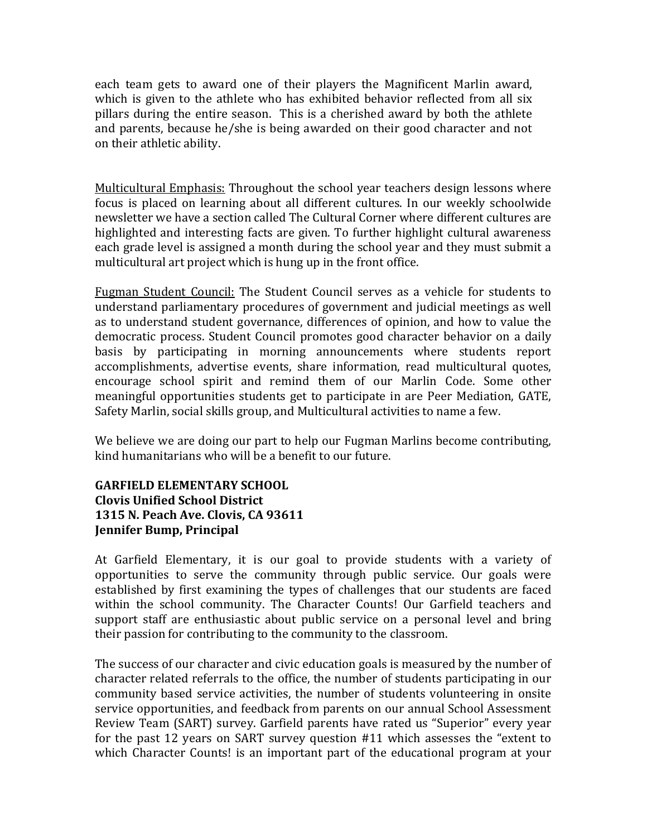each team gets to award one of their players the Magnificent Marlin award, which is given to the athlete who has exhibited behavior reflected from all six pillars during the entire season. This is a cherished award by both the athlete and parents, because he/she is being awarded on their good character and not on their athletic ability.

Multicultural Emphasis: Throughout the school year teachers design lessons where focus is placed on learning about all different cultures. In our weekly schoolwide newsletter we have a section called The Cultural Corner where different cultures are highlighted and interesting facts are given. To further highlight cultural awareness each grade level is assigned a month during the school year and they must submit a multicultural art project which is hung up in the front office.

Fugman Student Council: The Student Council serves as a vehicle for students to understand parliamentary procedures of government and judicial meetings as well as to understand student governance, differences of opinion, and how to value the democratic process. Student Council promotes good character behavior on a daily basis by participating in morning announcements where students report accomplishments, advertise events, share information, read multicultural quotes, encourage school spirit and remind them of our Marlin Code. Some other meaningful opportunities students get to participate in are Peer Mediation, GATE, Safety Marlin, social skills group, and Multicultural activities to name a few.

We believe we are doing our part to help our Fugman Marlins become contributing, kind humanitarians who will be a benefit to our future.

# **GARFIELD ELEMENTARY SCHOOL Clovis Unified School District 1315 N. Peach Ave. Clovis, CA 93611 Jennifer Bump, Principal**

At Garfield Elementary, it is our goal to provide students with a variety of opportunities to serve the community through public service. Our goals were established by first examining the types of challenges that our students are faced within the school community. The Character Counts! Our Garfield teachers and support staff are enthusiastic about public service on a personal level and bring their passion for contributing to the community to the classroom.

The success of our character and civic education goals is measured by the number of character related referrals to the office, the number of students participating in our community based service activities, the number of students volunteering in onsite service opportunities, and feedback from parents on our annual School Assessment Review Team (SART) survey. Garfield parents have rated us "Superior" every year for the past 12 years on SART survey question  $#11$  which assesses the "extent to which Character Counts! is an important part of the educational program at your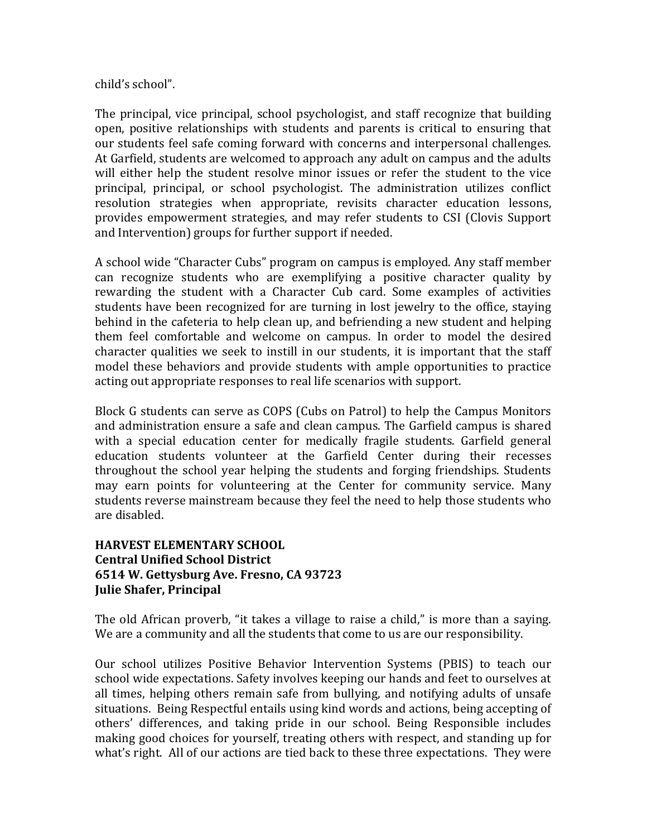child's school".

The principal, vice principal, school psychologist, and staff recognize that building open, positive relationships with students and parents is critical to ensuring that our students feel safe coming forward with concerns and interpersonal challenges. At Garfield, students are welcomed to approach any adult on campus and the adults will either help the student resolve minor issues or refer the student to the vice principal, principal, or school psychologist. The administration utilizes conflict resolution strategies when appropriate, revisits character education lessons, provides empowerment strategies, and may refer students to CSI (Clovis Support and Intervention) groups for further support if needed.

A school wide "Character Cubs" program on campus is employed. Any staff member can recognize students who are exemplifying a positive character quality by rewarding the student with a Character Cub card. Some examples of activities students have been recognized for are turning in lost jewelry to the office, staying behind in the cafeteria to help clean up, and befriending a new student and helping them feel comfortable and welcome on campus. In order to model the desired character qualities we seek to instill in our students, it is important that the staff model these behaviors and provide students with ample opportunities to practice acting out appropriate responses to real life scenarios with support.

Block G students can serve as COPS (Cubs on Patrol) to help the Campus Monitors and administration ensure a safe and clean campus. The Garfield campus is shared with a special education center for medically fragile students. Garfield general education students volunteer at the Garfield Center during their recesses throughout the school year helping the students and forging friendships. Students may earn points for volunteering at the Center for community service. Many students reverse mainstream because they feel the need to help those students who are disabled.

#### **HARVEST ELEMENTARY SCHOOL Central Unified School District 6514 W. Gettysburg Ave. Fresno, CA 93723 Julie Shafer, Principal**

The old African proverb, "it takes a village to raise a child," is more than a saying. We are a community and all the students that come to us are our responsibility.

Our school utilizes Positive Behavior Intervention Systems (PBIS) to teach our school wide expectations. Safety involves keeping our hands and feet to ourselves at all times, helping others remain safe from bullying, and notifying adults of unsafe situations. Being Respectful entails using kind words and actions, being accepting of others' differences, and taking pride in our school. Being Responsible includes making good choices for yourself, treating others with respect, and standing up for what's right. All of our actions are tied back to these three expectations. They were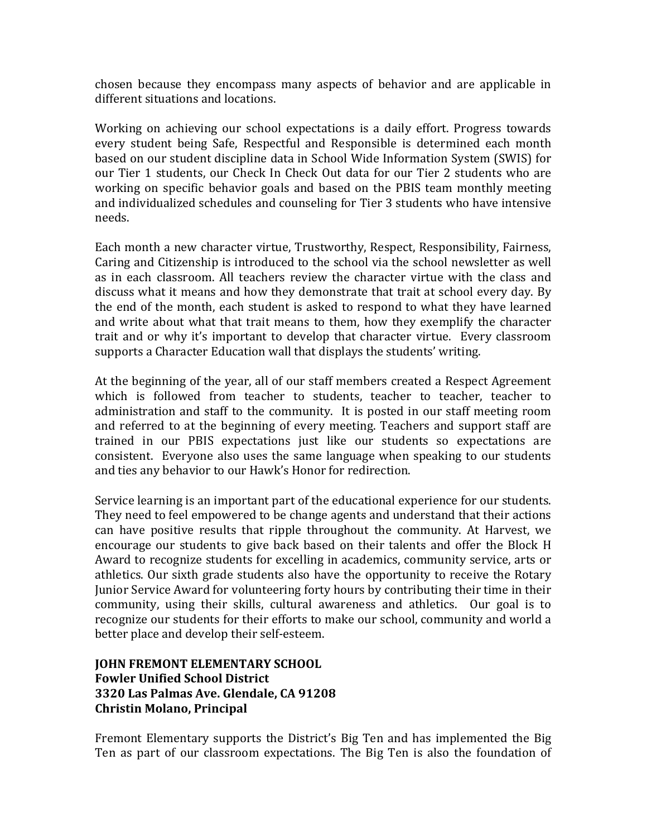chosen because they encompass many aspects of behavior and are applicable in different situations and locations.

Working on achieving our school expectations is a daily effort. Progress towards every student being Safe, Respectful and Responsible is determined each month based on our student discipline data in School Wide Information System (SWIS) for our Tier 1 students, our Check In Check Out data for our Tier 2 students who are working on specific behavior goals and based on the PBIS team monthly meeting and individualized schedules and counseling for Tier 3 students who have intensive needs.

Each month a new character virtue, Trustworthy, Respect, Responsibility, Fairness, Caring and Citizenship is introduced to the school via the school newsletter as well as in each classroom. All teachers review the character virtue with the class and discuss what it means and how they demonstrate that trait at school every day. By the end of the month, each student is asked to respond to what they have learned and write about what that trait means to them, how they exemplify the character trait and or why it's important to develop that character virtue. Every classroom supports a Character Education wall that displays the students' writing.

At the beginning of the year, all of our staff members created a Respect Agreement which is followed from teacher to students, teacher to teacher, teacher to administration and staff to the community. It is posted in our staff meeting room and referred to at the beginning of every meeting. Teachers and support staff are trained in our PBIS expectations just like our students so expectations are consistent. Everyone also uses the same language when speaking to our students and ties any behavior to our Hawk's Honor for redirection.

Service learning is an important part of the educational experience for our students. They need to feel empowered to be change agents and understand that their actions can have positive results that ripple throughout the community. At Harvest, we encourage our students to give back based on their talents and offer the Block H Award to recognize students for excelling in academics, community service, arts or athletics. Our sixth grade students also have the opportunity to receive the Rotary Junior Service Award for volunteering forty hours by contributing their time in their community, using their skills, cultural awareness and athletics. Our goal is to recognize our students for their efforts to make our school, community and world a better place and develop their self-esteem.

# **JOHN FREMONT ELEMENTARY SCHOOL Fowler Unified School District 3320 Las Palmas Ave. Glendale, CA 91208 Christin Molano, Principal**

Fremont Elementary supports the District's Big Ten and has implemented the Big Ten as part of our classroom expectations. The Big Ten is also the foundation of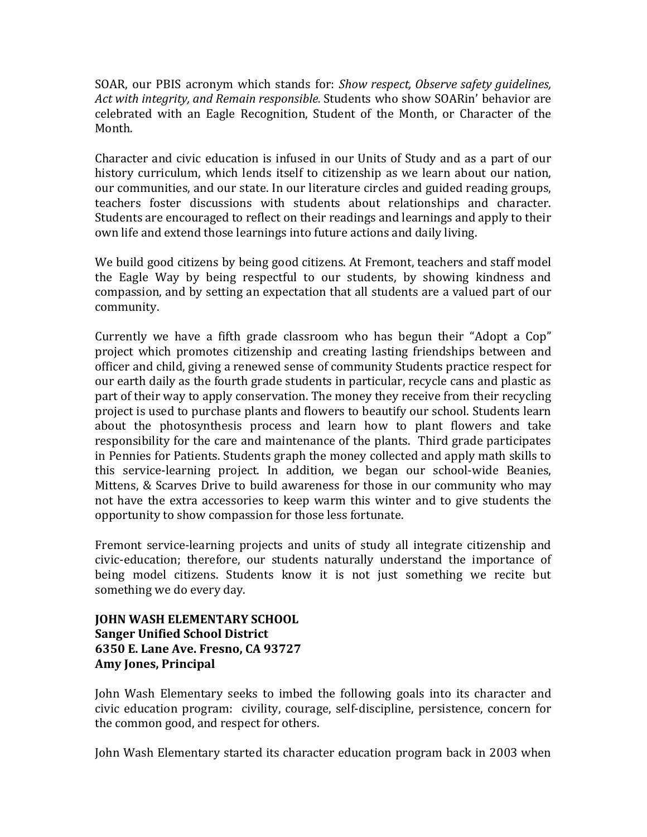SOAR, our PBIS acronym which stands for: *Show respect, Observe safety quidelines,* Act with integrity, and Remain responsible. Students who show SOARin' behavior are celebrated with an Eagle Recognition, Student of the Month, or Character of the Month. 

Character and civic education is infused in our Units of Study and as a part of our history curriculum, which lends itself to citizenship as we learn about our nation, our communities, and our state. In our literature circles and guided reading groups, teachers foster discussions with students about relationships and character. Students are encouraged to reflect on their readings and learnings and apply to their own life and extend those learnings into future actions and daily living.

We build good citizens by being good citizens. At Fremont, teachers and staff model the Eagle Way by being respectful to our students, by showing kindness and compassion, and by setting an expectation that all students are a valued part of our community. 

Currently we have a fifth grade classroom who has begun their "Adopt a Cop" project which promotes citizenship and creating lasting friendships between and officer and child, giving a renewed sense of community Students practice respect for our earth daily as the fourth grade students in particular, recycle cans and plastic as part of their way to apply conservation. The money they receive from their recycling project is used to purchase plants and flowers to beautify our school. Students learn about the photosynthesis process and learn how to plant flowers and take responsibility for the care and maintenance of the plants. Third grade participates in Pennies for Patients. Students graph the money collected and apply math skills to this service-learning project. In addition, we began our school-wide Beanies, Mittens, & Scarves Drive to build awareness for those in our community who may not have the extra accessories to keep warm this winter and to give students the opportunity to show compassion for those less fortunate.

Fremont service-learning projects and units of study all integrate citizenship and civic-education; therefore, our students naturally understand the importance of being model citizens. Students know it is not just something we recite but something we do every day.

**JOHN WASH ELEMENTARY SCHOOL Sanger Unified School District 6350 E. Lane Ave. Fresno, CA 93727 Amy Jones, Principal**

John Wash Elementary seeks to imbed the following goals into its character and civic education program: civility, courage, self-discipline, persistence, concern for the common good, and respect for others.

John Wash Elementary started its character education program back in 2003 when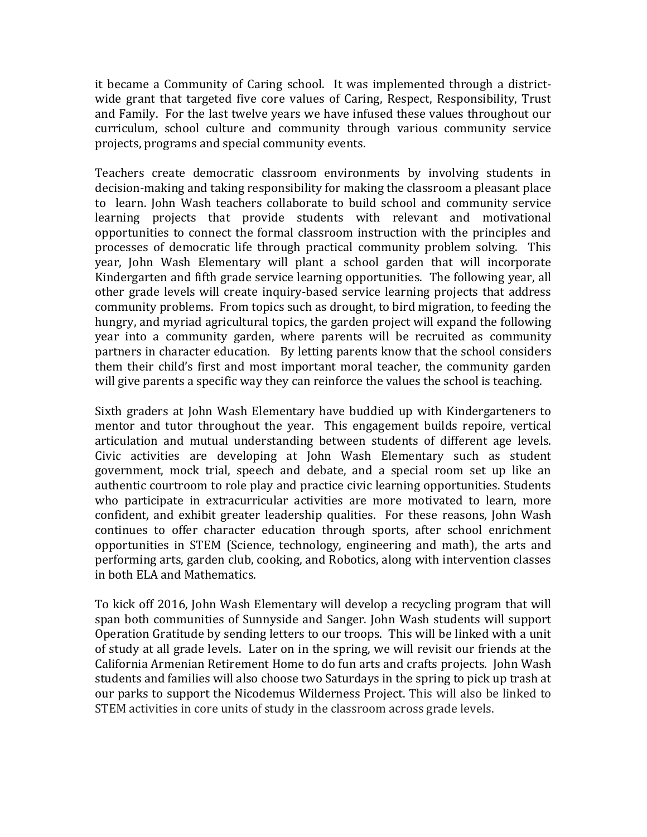it became a Community of Caring school. It was implemented through a districtwide grant that targeted five core values of Caring, Respect, Responsibility, Trust and Family. For the last twelve vears we have infused these values throughout our curriculum, school culture and community through various community service projects, programs and special community events.

Teachers create democratic classroom environments by involving students in decision-making and taking responsibility for making the classroom a pleasant place to learn. John Wash teachers collaborate to build school and community service learning projects that provide students with relevant and motivational opportunities to connect the formal classroom instruction with the principles and processes of democratic life through practical community problem solving. This year, John Wash Elementary will plant a school garden that will incorporate Kindergarten and fifth grade service learning opportunities. The following year, all other grade levels will create inquiry-based service learning projects that address community problems. From topics such as drought, to bird migration, to feeding the hungry, and myriad agricultural topics, the garden project will expand the following year into a community garden, where parents will be recruited as community partners in character education. By letting parents know that the school considers them their child's first and most important moral teacher, the community garden will give parents a specific way they can reinforce the values the school is teaching.

Sixth graders at John Wash Elementary have buddied up with Kindergarteners to mentor and tutor throughout the year. This engagement builds repoire, vertical articulation and mutual understanding between students of different age levels. Civic activities are developing at John Wash Elementary such as student government, mock trial, speech and debate, and a special room set up like an authentic courtroom to role play and practice civic learning opportunities. Students who participate in extracurricular activities are more motivated to learn, more confident, and exhibit greater leadership qualities. For these reasons, John Wash continues to offer character education through sports, after school enrichment opportunities in STEM (Science, technology, engineering and math), the arts and performing arts, garden club, cooking, and Robotics, along with intervention classes in both ELA and Mathematics.

To kick off 2016, John Wash Elementary will develop a recycling program that will span both communities of Sunnyside and Sanger. John Wash students will support Operation Gratitude by sending letters to our troops. This will be linked with a unit of study at all grade levels. Later on in the spring, we will revisit our friends at the California Armenian Retirement Home to do fun arts and crafts projects. John Wash students and families will also choose two Saturdays in the spring to pick up trash at our parks to support the Nicodemus Wilderness Project. This will also be linked to STEM activities in core units of study in the classroom across grade levels.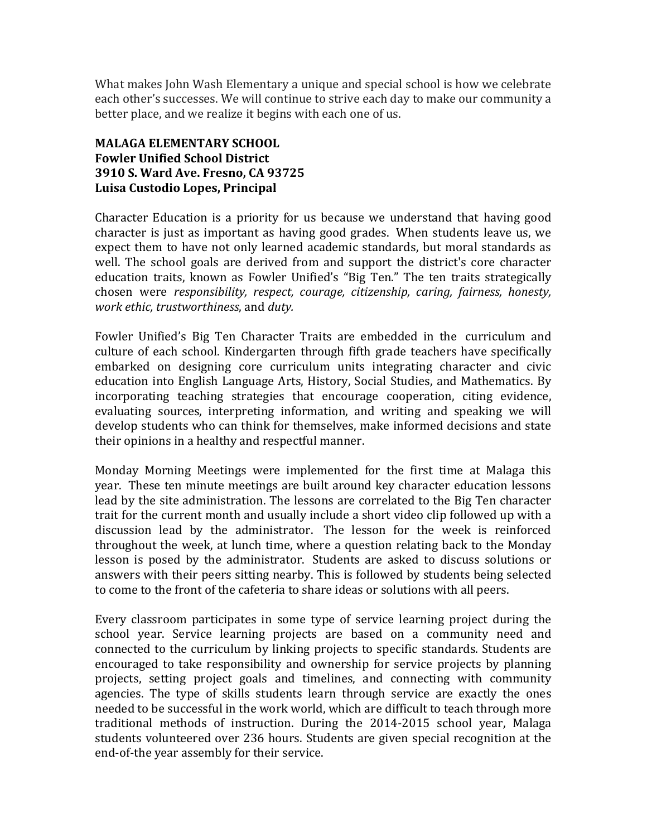What makes John Wash Elementary a unique and special school is how we celebrate each other's successes. We will continue to strive each day to make our community a better place, and we realize it begins with each one of us.

# **MALAGA ELEMENTARY SCHOOL Fowler Unified School District 3910 S. Ward Ave. Fresno, CA 93725 Luisa Custodio Lopes, Principal**

Character Education is a priority for us because we understand that having good character is just as important as having good grades. When students leave us, we expect them to have not only learned academic standards, but moral standards as well. The school goals are derived from and support the district's core character education traits, known as Fowler Unified's "Big Ten." The ten traits strategically chosen were *responsibility, respect, courage, citizenship, caring, fairness, honesty, work ethic, trustworthiness, and duty.* 

Fowler Unified's Big Ten Character Traits are embedded in the curriculum and culture of each school. Kindergarten through fifth grade teachers have specifically embarked on designing core curriculum units integrating character and civic education into English Language Arts, History, Social Studies, and Mathematics. By incorporating teaching strategies that encourage cooperation, citing evidence, evaluating sources, interpreting information, and writing and speaking we will develop students who can think for themselves, make informed decisions and state their opinions in a healthy and respectful manner.

Monday Morning Meetings were implemented for the first time at Malaga this year. These ten minute meetings are built around key character education lessons lead by the site administration. The lessons are correlated to the Big Ten character trait for the current month and usually include a short video clip followed up with a discussion lead by the administrator. The lesson for the week is reinforced throughout the week, at lunch time, where a question relating back to the Monday lesson is posed by the administrator. Students are asked to discuss solutions or answers with their peers sitting nearby. This is followed by students being selected to come to the front of the cafeteria to share ideas or solutions with all peers.

Every classroom participates in some type of service learning project during the school year. Service learning projects are based on a community need and connected to the curriculum by linking projects to specific standards. Students are encouraged to take responsibility and ownership for service projects by planning projects, setting project goals and timelines, and connecting with community agencies. The type of skills students learn through service are exactly the ones needed to be successful in the work world, which are difficult to teach through more traditional methods of instruction. During the 2014-2015 school year, Malaga students volunteered over 236 hours. Students are given special recognition at the end-of-the year assembly for their service.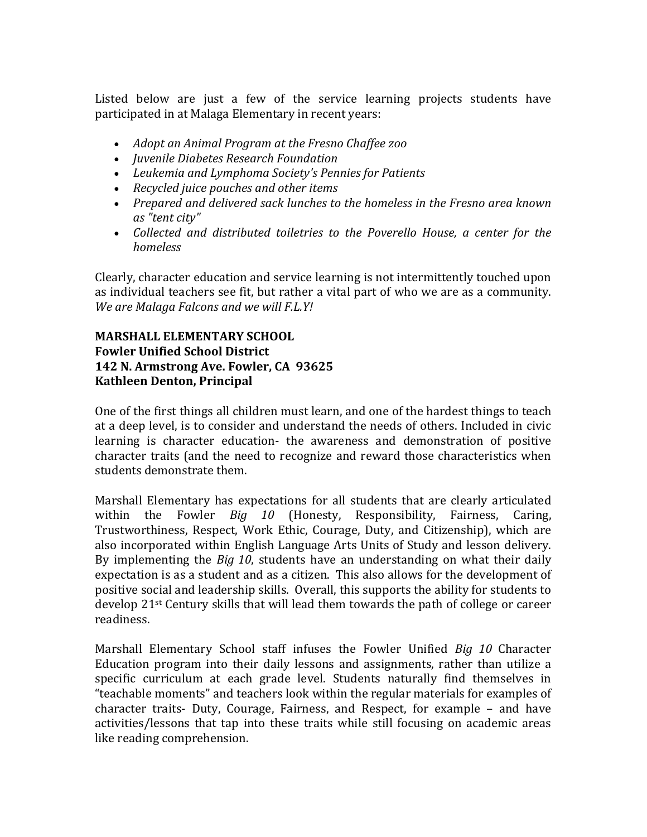Listed below are just a few of the service learning projects students have participated in at Malaga Elementary in recent years:

- Adopt an Animal Program at the Fresno Chaffee zoo
- *Juvenile Diabetes Research Foundation*
- Leukemia and Lymphoma Society's Pennies for Patients
- Recycled juice pouches and other items
- Prepared and delivered sack lunches to the homeless in the Fresno area known *as "tent city"*
- Collected and distributed toiletries to the Poverello House, a center for the *homeless*

Clearly, character education and service learning is not intermittently touched upon as individual teachers see fit, but rather a vital part of who we are as a community. *We are Malaga Falcons and we will F.L.Y!* 

#### **MARSHALL ELEMENTARY SCHOOL Fowler Unified School District 142 N. Armstrong Ave. Fowler, CA 93625 Kathleen Denton, Principal**

One of the first things all children must learn, and one of the hardest things to teach at a deep level, is to consider and understand the needs of others. Included in civic learning is character education- the awareness and demonstration of positive character traits (and the need to recognize and reward those characteristics when students demonstrate them.

Marshall Elementary has expectations for all students that are clearly articulated within the Fowler *Big 10* (Honesty, Responsibility, Fairness, Caring, Trustworthiness, Respect, Work Ethic, Courage, Duty, and Citizenship), which are also incorporated within English Language Arts Units of Study and lesson delivery. By implementing the *Big 10*, students have an understanding on what their daily expectation is as a student and as a citizen. This also allows for the development of positive social and leadership skills. Overall, this supports the ability for students to develop  $21^{st}$  Century skills that will lead them towards the path of college or career readiness. 

Marshall Elementary School staff infuses the Fowler Unified *Big 10* Character Education program into their daily lessons and assignments, rather than utilize a specific curriculum at each grade level. Students naturally find themselves in "teachable moments" and teachers look within the regular materials for examples of character traits- Duty, Courage, Fairness, and Respect, for example  $-$  and have activities/lessons that tap into these traits while still focusing on academic areas like reading comprehension.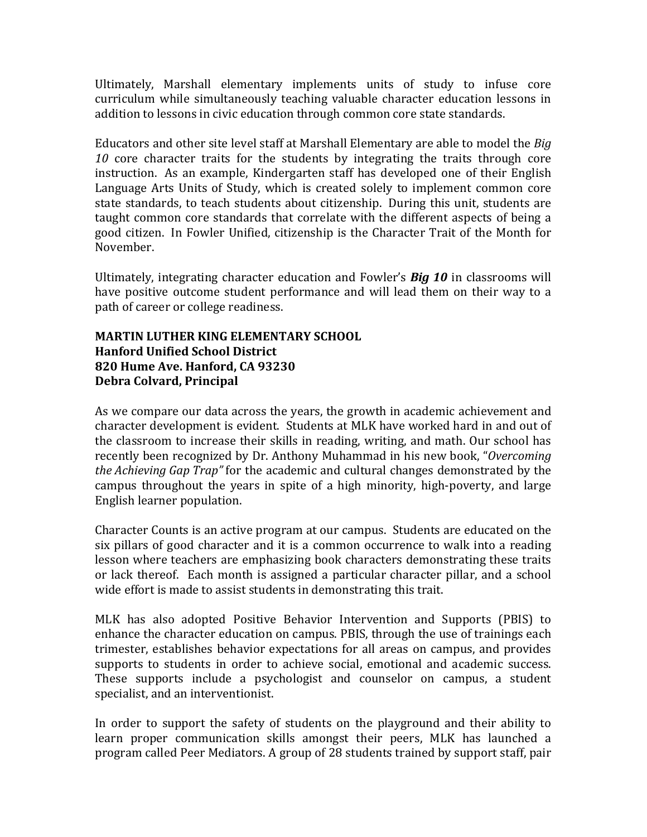Ultimately, Marshall elementary implements units of study to infuse core curriculum while simultaneously teaching valuable character education lessons in addition to lessons in civic education through common core state standards.

Educators and other site level staff at Marshall Elementary are able to model the *Big* 10 core character traits for the students by integrating the traits through core instruction. As an example, Kindergarten staff has developed one of their English Language Arts Units of Study, which is created solely to implement common core state standards, to teach students about citizenship. During this unit, students are taught common core standards that correlate with the different aspects of being a good citizen. In Fowler Unified, citizenship is the Character Trait of the Month for November.

Ultimately, integrating character education and Fowler's **Big 10** in classrooms will have positive outcome student performance and will lead them on their way to a path of career or college readiness.

# **MARTIN LUTHER KING ELEMENTARY SCHOOL Hanford Unified School District 820 Hume Ave. Hanford, CA 93230 Debra Colvard, Principal**

As we compare our data across the years, the growth in academic achievement and character development is evident. Students at MLK have worked hard in and out of the classroom to increase their skills in reading, writing, and math. Our school has recently been recognized by Dr. Anthony Muhammad in his new book, "*Overcoming the Achieving Gap Trap"* for the academic and cultural changes demonstrated by the campus throughout the years in spite of a high minority, high-poverty, and large English learner population.

Character Counts is an active program at our campus. Students are educated on the six pillars of good character and it is a common occurrence to walk into a reading lesson where teachers are emphasizing book characters demonstrating these traits or lack thereof. Each month is assigned a particular character pillar, and a school wide effort is made to assist students in demonstrating this trait.

MLK has also adopted Positive Behavior Intervention and Supports (PBIS) to enhance the character education on campus. PBIS, through the use of trainings each trimester, establishes behavior expectations for all areas on campus, and provides supports to students in order to achieve social, emotional and academic success. These supports include a psychologist and counselor on campus, a student specialist, and an interventionist.

In order to support the safety of students on the playground and their ability to learn proper communication skills amongst their peers, MLK has launched a program called Peer Mediators. A group of 28 students trained by support staff, pair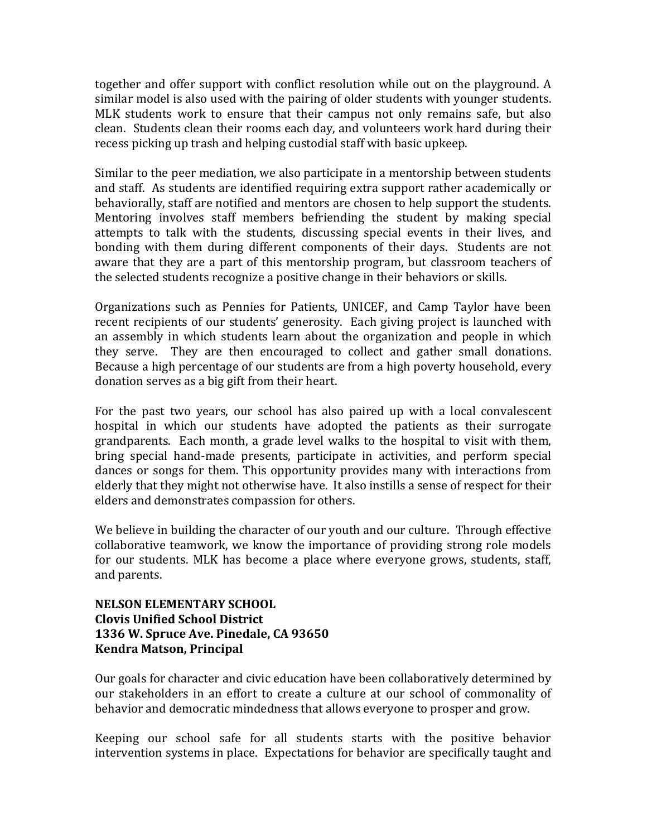together and offer support with conflict resolution while out on the playground. A similar model is also used with the pairing of older students with younger students. MLK students work to ensure that their campus not only remains safe, but also clean. Students clean their rooms each day, and volunteers work hard during their recess picking up trash and helping custodial staff with basic upkeep.

Similar to the peer mediation, we also participate in a mentorship between students and staff. As students are identified requiring extra support rather academically or behaviorally, staff are notified and mentors are chosen to help support the students. Mentoring involves staff members befriending the student by making special attempts to talk with the students, discussing special events in their lives, and bonding with them during different components of their days. Students are not aware that they are a part of this mentorship program, but classroom teachers of the selected students recognize a positive change in their behaviors or skills.

Organizations such as Pennies for Patients, UNICEF, and Camp Taylor have been recent recipients of our students' generosity. Each giving project is launched with an assembly in which students learn about the organization and people in which they serve. They are then encouraged to collect and gather small donations. Because a high percentage of our students are from a high poverty household, every donation serves as a big gift from their heart.

For the past two years, our school has also paired up with a local convalescent hospital in which our students have adopted the patients as their surrogate grandparents. Each month, a grade level walks to the hospital to visit with them, bring special hand-made presents, participate in activities, and perform special dances or songs for them. This opportunity provides many with interactions from elderly that they might not otherwise have. It also instills a sense of respect for their elders and demonstrates compassion for others.

We believe in building the character of our youth and our culture. Through effective collaborative teamwork, we know the importance of providing strong role models for our students. MLK has become a place where everyone grows, students, staff, and parents.

# **NELSON ELEMENTARY SCHOOL Clovis Unified School District 1336 W. Spruce Ave. Pinedale, CA 93650 Kendra Matson, Principal**

Our goals for character and civic education have been collaboratively determined by our stakeholders in an effort to create a culture at our school of commonality of behavior and democratic mindedness that allows everyone to prosper and grow.

Keeping our school safe for all students starts with the positive behavior intervention systems in place. Expectations for behavior are specifically taught and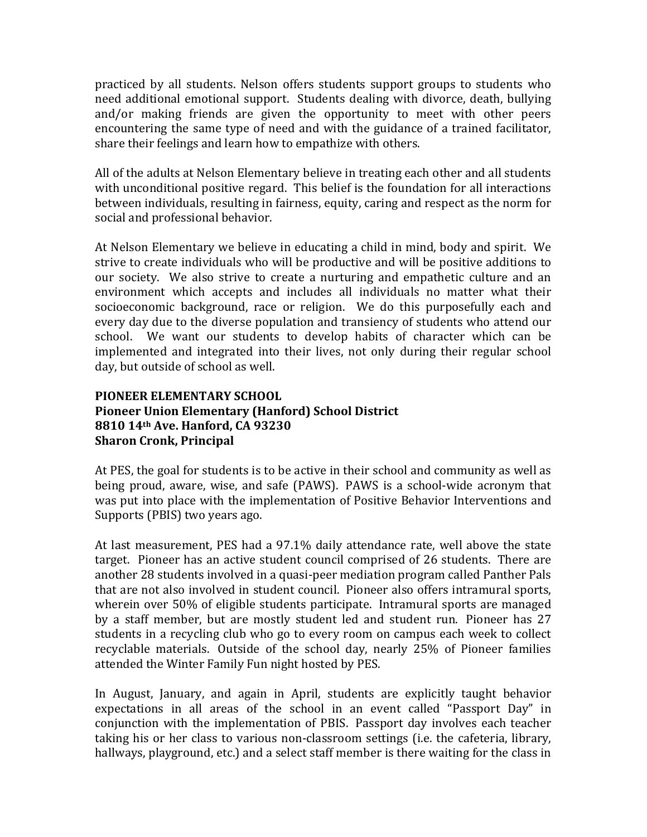practiced by all students. Nelson offers students support groups to students who need additional emotional support. Students dealing with divorce, death, bullying and/or making friends are given the opportunity to meet with other peers encountering the same type of need and with the guidance of a trained facilitator, share their feelings and learn how to empathize with others.

All of the adults at Nelson Elementary believe in treating each other and all students with unconditional positive regard. This belief is the foundation for all interactions between individuals, resulting in fairness, equity, caring and respect as the norm for social and professional behavior.

At Nelson Elementary we believe in educating a child in mind, body and spirit. We strive to create individuals who will be productive and will be positive additions to our society. We also strive to create a nurturing and empathetic culture and an environment which accepts and includes all individuals no matter what their socioeconomic background, race or religion. We do this purposefully each and every day due to the diverse population and transiency of students who attend our school. We want our students to develop habits of character which can be implemented and integrated into their lives, not only during their regular school day, but outside of school as well.

# **PIONEER ELEMENTARY SCHOOL Pioneer Union Elementary (Hanford) School District 8810 14th Ave. Hanford, CA 93230 Sharon Cronk, Principal**

At PES, the goal for students is to be active in their school and community as well as being proud, aware, wise, and safe (PAWS). PAWS is a school-wide acronym that was put into place with the implementation of Positive Behavior Interventions and Supports (PBIS) two years ago.

At last measurement, PES had a 97.1% daily attendance rate, well above the state target. Pioneer has an active student council comprised of 26 students. There are another 28 students involved in a quasi-peer mediation program called Panther Pals that are not also involved in student council. Pioneer also offers intramural sports, wherein over 50% of eligible students participate. Intramural sports are managed by a staff member, but are mostly student led and student run. Pioneer has 27 students in a recycling club who go to every room on campus each week to collect recyclable materials. Outside of the school day, nearly 25% of Pioneer families attended the Winter Family Fun night hosted by PES.

In August, January, and again in April, students are explicitly taught behavior expectations in all areas of the school in an event called "Passport Day" in conjunction with the implementation of PBIS. Passport day involves each teacher taking his or her class to various non-classroom settings (i.e. the cafeteria, library, hallways, playground, etc.) and a select staff member is there waiting for the class in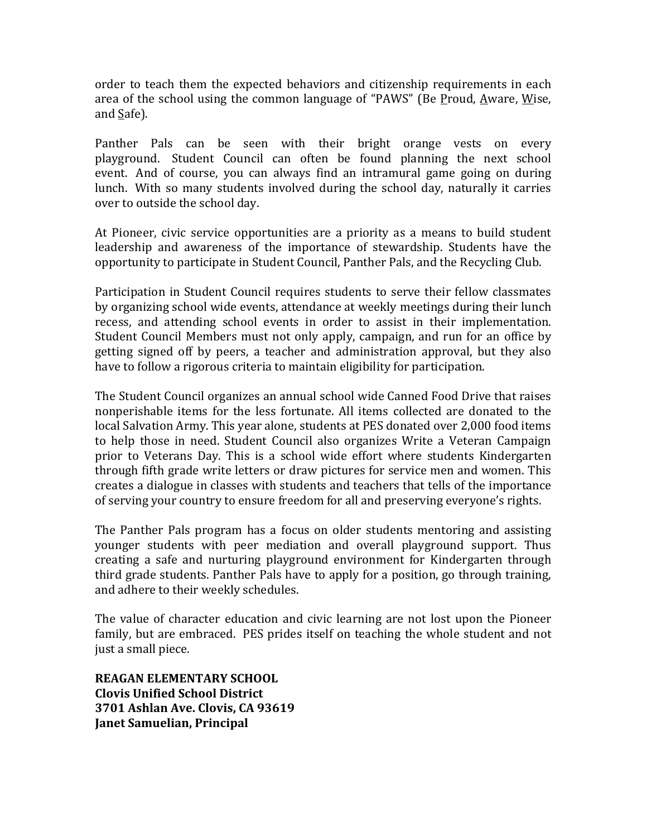order to teach them the expected behaviors and citizenship requirements in each area of the school using the common language of "PAWS" (Be Proud, Aware, Wise, and  $Safe$ ).

Panther Pals can be seen with their bright orange vests on every playground. Student Council can often be found planning the next school event. And of course, you can always find an intramural game going on during lunch. With so many students involved during the school day, naturally it carries over to outside the school day.

At Pioneer, civic service opportunities are a priority as a means to build student leadership and awareness of the importance of stewardship. Students have the opportunity to participate in Student Council, Panther Pals, and the Recycling Club.

Participation in Student Council requires students to serve their fellow classmates by organizing school wide events, attendance at weekly meetings during their lunch recess, and attending school events in order to assist in their implementation. Student Council Members must not only apply, campaign, and run for an office by getting signed off by peers, a teacher and administration approval, but they also have to follow a rigorous criteria to maintain eligibility for participation.

The Student Council organizes an annual school wide Canned Food Drive that raises nonperishable items for the less fortunate. All items collected are donated to the local Salvation Army. This year alone, students at PES donated over 2,000 food items to help those in need. Student Council also organizes Write a Veteran Campaign prior to Veterans Day. This is a school wide effort where students Kindergarten through fifth grade write letters or draw pictures for service men and women. This creates a dialogue in classes with students and teachers that tells of the importance of serving your country to ensure freedom for all and preserving everyone's rights.

The Panther Pals program has a focus on older students mentoring and assisting younger students with peer mediation and overall playground support. Thus creating a safe and nurturing playground environment for Kindergarten through third grade students. Panther Pals have to apply for a position, go through training, and adhere to their weekly schedules.

The value of character education and civic learning are not lost upon the Pioneer family, but are embraced. PES prides itself on teaching the whole student and not just a small piece.

**REAGAN ELEMENTARY SCHOOL Clovis Unified School District 3701 Ashlan Ave. Clovis, CA 93619 Janet Samuelian, Principal**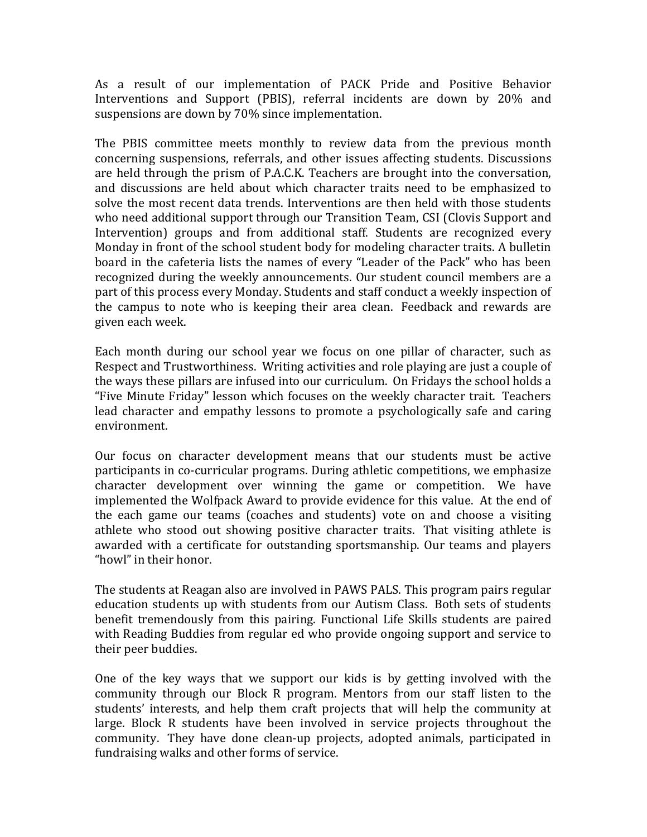As a result of our implementation of PACK Pride and Positive Behavior Interventions and Support (PBIS), referral incidents are down by 20% and suspensions are down by 70% since implementation.

The PBIS committee meets monthly to review data from the previous month concerning suspensions, referrals, and other issues affecting students. Discussions are held through the prism of P.A.C.K. Teachers are brought into the conversation, and discussions are held about which character traits need to be emphasized to solve the most recent data trends. Interventions are then held with those students who need additional support through our Transition Team, CSI (Clovis Support and Intervention) groups and from additional staff. Students are recognized every Monday in front of the school student body for modeling character traits. A bulletin board in the cafeteria lists the names of every "Leader of the Pack" who has been recognized during the weekly announcements. Our student council members are a part of this process every Monday. Students and staff conduct a weekly inspection of the campus to note who is keeping their area clean. Feedback and rewards are given each week.

Each month during our school year we focus on one pillar of character, such as Respect and Trustworthiness. Writing activities and role playing are just a couple of the ways these pillars are infused into our curriculum. On Fridays the school holds a "Five Minute Friday" lesson which focuses on the weekly character trait. Teachers lead character and empathy lessons to promote a psychologically safe and caring environment. 

Our focus on character development means that our students must be active participants in co-curricular programs. During athletic competitions, we emphasize character development over winning the game or competition. We have implemented the Wolfpack Award to provide evidence for this value. At the end of the each game our teams (coaches and students) vote on and choose a visiting athlete who stood out showing positive character traits. That visiting athlete is awarded with a certificate for outstanding sportsmanship. Our teams and players "howl" in their honor.

The students at Reagan also are involved in PAWS PALS. This program pairs regular education students up with students from our Autism Class. Both sets of students benefit tremendously from this pairing. Functional Life Skills students are paired with Reading Buddies from regular ed who provide ongoing support and service to their peer buddies.

One of the key ways that we support our kids is by getting involved with the community through our Block R program. Mentors from our staff listen to the students' interests, and help them craft projects that will help the community at large. Block R students have been involved in service projects throughout the community. They have done clean-up projects, adopted animals, participated in fundraising walks and other forms of service.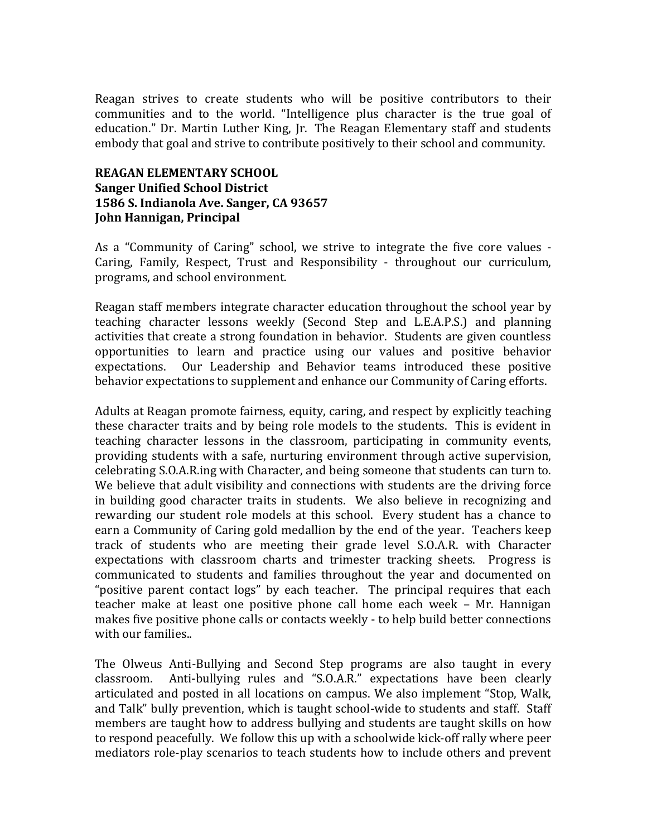Reagan strives to create students who will be positive contributors to their communities and to the world. "Intelligence plus character is the true goal of education." Dr. Martin Luther King, Jr. The Reagan Elementary staff and students embody that goal and strive to contribute positively to their school and community.

#### **REAGAN ELEMENTARY SCHOOL Sanger Unified School District 1586 S. Indianola Ave. Sanger, CA 93657 John Hannigan, Principal**

As a "Community of Caring" school, we strive to integrate the five core values -Caring, Family, Respect, Trust and Responsibility - throughout our curriculum, programs, and school environment.

Reagan staff members integrate character education throughout the school year by teaching character lessons weekly (Second Step and L.E.A.P.S.) and planning activities that create a strong foundation in behavior. Students are given countless opportunities to learn and practice using our values and positive behavior expectations. Our Leadership and Behavior teams introduced these positive behavior expectations to supplement and enhance our Community of Caring efforts.

Adults at Reagan promote fairness, equity, caring, and respect by explicitly teaching these character traits and by being role models to the students. This is evident in teaching character lessons in the classroom, participating in community events, providing students with a safe, nurturing environment through active supervision, celebrating S.O.A.R.ing with Character, and being someone that students can turn to. We believe that adult visibility and connections with students are the driving force in building good character traits in students. We also believe in recognizing and rewarding our student role models at this school. Every student has a chance to earn a Community of Caring gold medallion by the end of the year. Teachers keep track of students who are meeting their grade level S.O.A.R. with Character expectations with classroom charts and trimester tracking sheets. Progress is communicated to students and families throughout the year and documented on "positive parent contact  $\log s$ " by each teacher. The principal requires that each teacher make at least one positive phone call home each week - Mr. Hannigan makes five positive phone calls or contacts weekly - to help build better connections with our families..

The Olweus Anti-Bullying and Second Step programs are also taught in every  $classroom.$  Anti-bullying rules and "S.O.A.R." expectations have been clearly articulated and posted in all locations on campus. We also implement "Stop, Walk, and Talk" bully prevention, which is taught school-wide to students and staff. Staff members are taught how to address bullying and students are taught skills on how to respond peacefully. We follow this up with a schoolwide kick-off rally where peer mediators role-play scenarios to teach students how to include others and prevent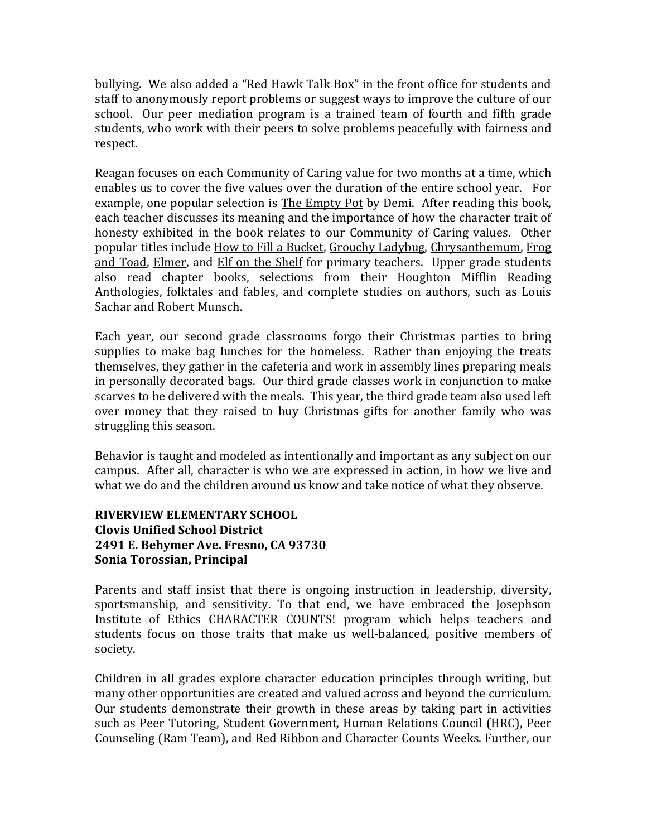bullying. We also added a "Red Hawk Talk Box" in the front office for students and staff to anonymously report problems or suggest ways to improve the culture of our school. Our peer mediation program is a trained team of fourth and fifth grade students, who work with their peers to solve problems peacefully with fairness and respect. 

Reagan focuses on each Community of Caring value for two months at a time, which enables us to cover the five values over the duration of the entire school year. For example, one popular selection is The Empty Pot by Demi. After reading this book, each teacher discusses its meaning and the importance of how the character trait of honesty exhibited in the book relates to our Community of Caring values. Other popular titles include How to Fill a Bucket, Grouchy Ladybug, Chrysanthemum, Frog and Toad, Elmer, and Elf on the Shelf for primary teachers. Upper grade students also read chapter books, selections from their Houghton Mifflin Reading Anthologies, folktales and fables, and complete studies on authors, such as Louis Sachar and Robert Munsch.

Each year, our second grade classrooms forgo their Christmas parties to bring supplies to make bag lunches for the homeless. Rather than enjoying the treats themselves, they gather in the cafeteria and work in assembly lines preparing meals in personally decorated bags. Our third grade classes work in conjunction to make scarves to be delivered with the meals. This year, the third grade team also used left over money that they raised to buy Christmas gifts for another family who was struggling this season.

Behavior is taught and modeled as intentionally and important as any subject on our campus. After all, character is who we are expressed in action, in how we live and what we do and the children around us know and take notice of what they observe.

# **RIVERVIEW ELEMENTARY SCHOOL Clovis Unified School District 2491 E. Behymer Ave. Fresno, CA 93730 Sonia Torossian, Principal**

Parents and staff insist that there is ongoing instruction in leadership, diversity, sportsmanship, and sensitivity. To that end, we have embraced the Josephson Institute of Ethics CHARACTER COUNTS! program which helps teachers and students focus on those traits that make us well-balanced, positive members of society. 

Children in all grades explore character education principles through writing, but many other opportunities are created and valued across and beyond the curriculum. Our students demonstrate their growth in these areas by taking part in activities such as Peer Tutoring, Student Government, Human Relations Council (HRC), Peer Counseling (Ram Team), and Red Ribbon and Character Counts Weeks. Further, our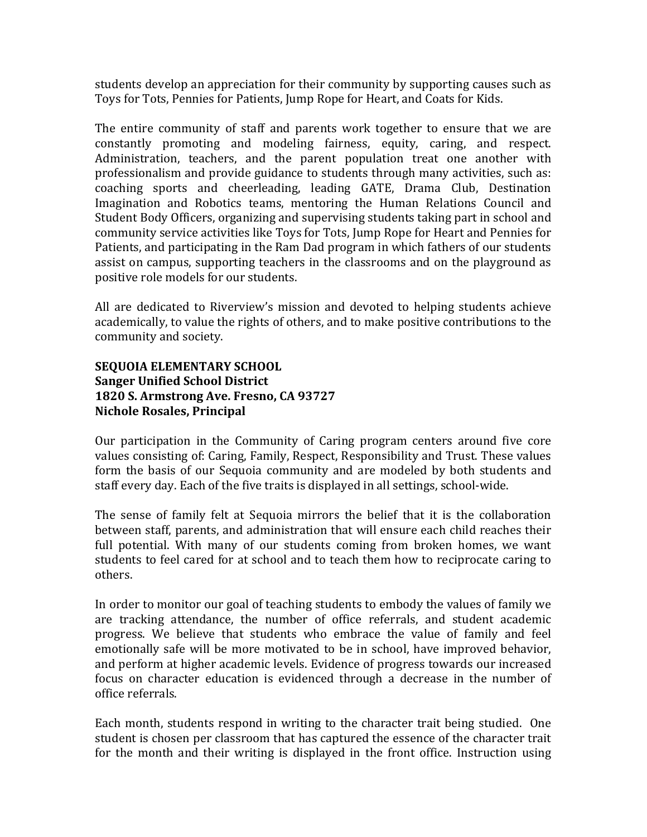students develop an appreciation for their community by supporting causes such as Toys for Tots, Pennies for Patients, Jump Rope for Heart, and Coats for Kids.

The entire community of staff and parents work together to ensure that we are constantly promoting and modeling fairness, equity, caring, and respect. Administration, teachers, and the parent population treat one another with professionalism and provide guidance to students through many activities, such as: coaching sports and cheerleading, leading GATE, Drama Club, Destination Imagination and Robotics teams, mentoring the Human Relations Council and Student Body Officers, organizing and supervising students taking part in school and community service activities like Toys for Tots, Jump Rope for Heart and Pennies for Patients, and participating in the Ram Dad program in which fathers of our students assist on campus, supporting teachers in the classrooms and on the playground as positive role models for our students.

All are dedicated to Riverview's mission and devoted to helping students achieve academically, to value the rights of others, and to make positive contributions to the community and society.

# **SEQUOIA ELEMENTARY SCHOOL Sanger Unified School District 1820 S. Armstrong Ave. Fresno, CA 93727 Nichole Rosales, Principal**

Our participation in the Community of Caring program centers around five core values consisting of: Caring, Family, Respect, Responsibility and Trust. These values form the basis of our Sequoia community and are modeled by both students and staff every day. Each of the five traits is displayed in all settings, school-wide.

The sense of family felt at Sequoia mirrors the belief that it is the collaboration between staff, parents, and administration that will ensure each child reaches their full potential. With many of our students coming from broken homes, we want students to feel cared for at school and to teach them how to reciprocate caring to others.

In order to monitor our goal of teaching students to embody the values of family we are tracking attendance, the number of office referrals, and student academic progress. We believe that students who embrace the value of family and feel emotionally safe will be more motivated to be in school, have improved behavior, and perform at higher academic levels. Evidence of progress towards our increased focus on character education is evidenced through a decrease in the number of office referrals.

Each month, students respond in writing to the character trait being studied. One student is chosen per classroom that has captured the essence of the character trait for the month and their writing is displayed in the front office. Instruction using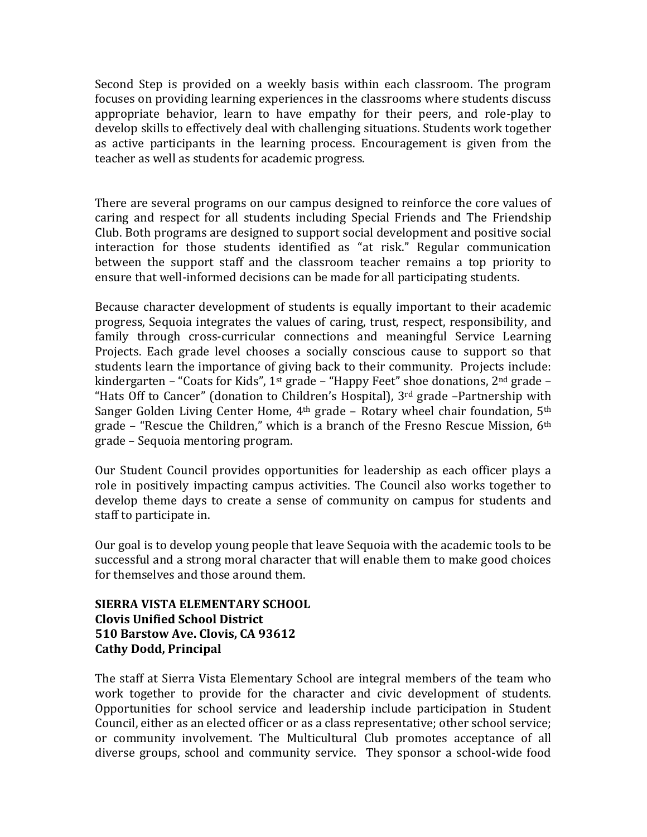Second Step is provided on a weekly basis within each classroom. The program focuses on providing learning experiences in the classrooms where students discuss appropriate behavior, learn to have empathy for their peers, and role-play to develop skills to effectively deal with challenging situations. Students work together as active participants in the learning process. Encouragement is given from the teacher as well as students for academic progress.

There are several programs on our campus designed to reinforce the core values of caring and respect for all students including Special Friends and The Friendship Club. Both programs are designed to support social development and positive social interaction for those students identified as "at risk." Regular communication between the support staff and the classroom teacher remains a top priority to ensure that well-informed decisions can be made for all participating students.

Because character development of students is equally important to their academic progress, Sequoia integrates the values of caring, trust, respect, responsibility, and family through cross-curricular connections and meaningful Service Learning Projects. Each grade level chooses a socially conscious cause to support so that students learn the importance of giving back to their community. Projects include: kindergarten – "Coats for Kids", 1<sup>st</sup> grade – "Happy Feet" shoe donations, 2<sup>nd</sup> grade – "Hats Off to Cancer" (donation to Children's Hospital),  $3<sup>rd</sup>$  grade -Partnership with Sanger Golden Living Center Home,  $4<sup>th</sup>$  grade – Rotary wheel chair foundation,  $5<sup>th</sup>$ grade – "Rescue the Children," which is a branch of the Fresno Rescue Mission,  $6<sup>th</sup>$ grade - Sequoia mentoring program.

Our Student Council provides opportunities for leadership as each officer plays a role in positively impacting campus activities. The Council also works together to develop theme days to create a sense of community on campus for students and staff to participate in.

Our goal is to develop young people that leave Sequoia with the academic tools to be successful and a strong moral character that will enable them to make good choices for themselves and those around them.

# **SIERRA VISTA ELEMENTARY SCHOOL Clovis Unified School District 510 Barstow Ave. Clovis, CA 93612 Cathy Dodd, Principal**

The staff at Sierra Vista Elementary School are integral members of the team who work together to provide for the character and civic development of students. Opportunities for school service and leadership include participation in Student Council, either as an elected officer or as a class representative; other school service; or community involvement. The Multicultural Club promotes acceptance of all diverse groups, school and community service. They sponsor a school-wide food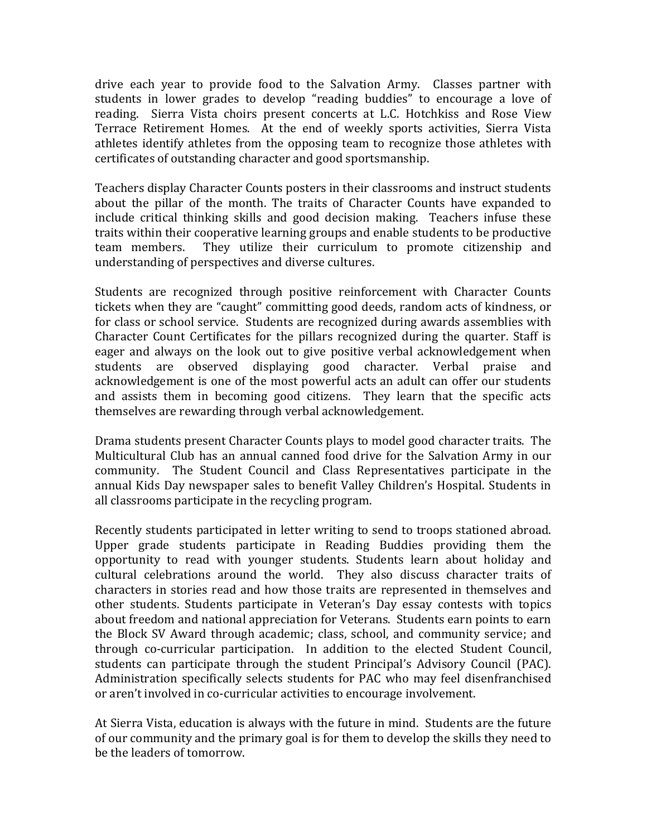drive each year to provide food to the Salvation Army. Classes partner with students in lower grades to develop "reading buddies" to encourage a love of reading. Sierra Vista choirs present concerts at L.C. Hotchkiss and Rose View Terrace Retirement Homes. At the end of weekly sports activities, Sierra Vista athletes identify athletes from the opposing team to recognize those athletes with certificates of outstanding character and good sportsmanship.

Teachers display Character Counts posters in their classrooms and instruct students about the pillar of the month. The traits of Character Counts have expanded to include critical thinking skills and good decision making. Teachers infuse these traits within their cooperative learning groups and enable students to be productive team members. They utilize their curriculum to promote citizenship and understanding of perspectives and diverse cultures.

Students are recognized through positive reinforcement with Character Counts tickets when they are "caught" committing good deeds, random acts of kindness, or for class or school service. Students are recognized during awards assemblies with Character Count Certificates for the pillars recognized during the quarter. Staff is eager and always on the look out to give positive verbal acknowledgement when students are observed displaying good character. Verbal praise and acknowledgement is one of the most powerful acts an adult can offer our students and assists them in becoming good citizens. They learn that the specific acts themselves are rewarding through verbal acknowledgement.

Drama students present Character Counts plays to model good character traits. The Multicultural Club has an annual canned food drive for the Salvation Army in our community. The Student Council and Class Representatives participate in the annual Kids Day newspaper sales to benefit Valley Children's Hospital. Students in all classrooms participate in the recycling program.

Recently students participated in letter writing to send to troops stationed abroad. Upper grade students participate in Reading Buddies providing them the opportunity to read with younger students. Students learn about holiday and cultural celebrations around the world. They also discuss character traits of characters in stories read and how those traits are represented in themselves and other students. Students participate in Veteran's Day essay contests with topics about freedom and national appreciation for Veterans. Students earn points to earn the Block SV Award through academic; class, school, and community service; and through co-curricular participation. In addition to the elected Student Council, students can participate through the student Principal's Advisory Council (PAC). Administration specifically selects students for PAC who may feel disenfranchised or aren't involved in co-curricular activities to encourage involvement.

At Sierra Vista, education is always with the future in mind. Students are the future of our community and the primary goal is for them to develop the skills they need to be the leaders of tomorrow.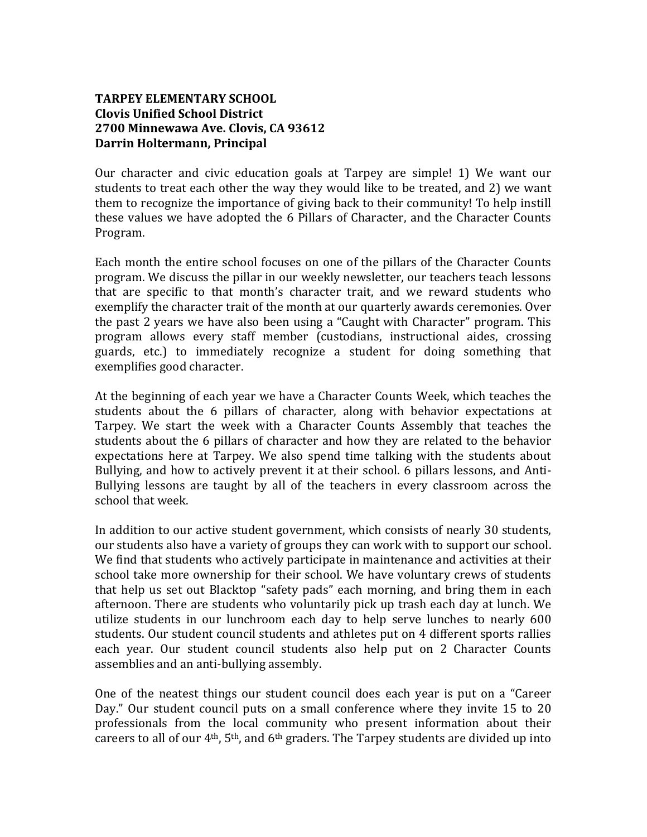# **TARPEY ELEMENTARY SCHOOL Clovis Unified School District 2700 Minnewawa Ave. Clovis, CA 93612 Darrin Holtermann, Principal**

Our character and civic education goals at Tarpey are simple! 1) We want our students to treat each other the way they would like to be treated, and 2) we want them to recognize the importance of giving back to their community! To help instill these values we have adopted the 6 Pillars of Character, and the Character Counts Program.

Each month the entire school focuses on one of the pillars of the Character Counts program. We discuss the pillar in our weekly newsletter, our teachers teach lessons that are specific to that month's character trait, and we reward students who exemplify the character trait of the month at our quarterly awards ceremonies. Over the past 2 years we have also been using a "Caught with Character" program. This program allows every staff member (custodians, instructional aides, crossing guards, etc.) to immediately recognize a student for doing something that exemplifies good character.

At the beginning of each year we have a Character Counts Week, which teaches the students about the 6 pillars of character, along with behavior expectations at Tarpey. We start the week with a Character Counts Assembly that teaches the students about the 6 pillars of character and how they are related to the behavior expectations here at Tarpey. We also spend time talking with the students about Bullying, and how to actively prevent it at their school. 6 pillars lessons, and Anti-Bullying lessons are taught by all of the teachers in every classroom across the school that week.

In addition to our active student government, which consists of nearly 30 students, our students also have a variety of groups they can work with to support our school. We find that students who actively participate in maintenance and activities at their school take more ownership for their school. We have voluntary crews of students that help us set out Blacktop "safety pads" each morning, and bring them in each afternoon. There are students who voluntarily pick up trash each day at lunch. We utilize students in our lunchroom each day to help serve lunches to nearly 600 students. Our student council students and athletes put on 4 different sports rallies each year. Our student council students also help put on 2 Character Counts assemblies and an anti-bullying assembly.

One of the neatest things our student council does each year is put on a "Career Day." Our student council puts on a small conference where they invite 15 to 20 professionals from the local community who present information about their careers to all of our  $4<sup>th</sup>$ ,  $5<sup>th</sup>$ , and  $6<sup>th</sup>$  graders. The Tarpey students are divided up into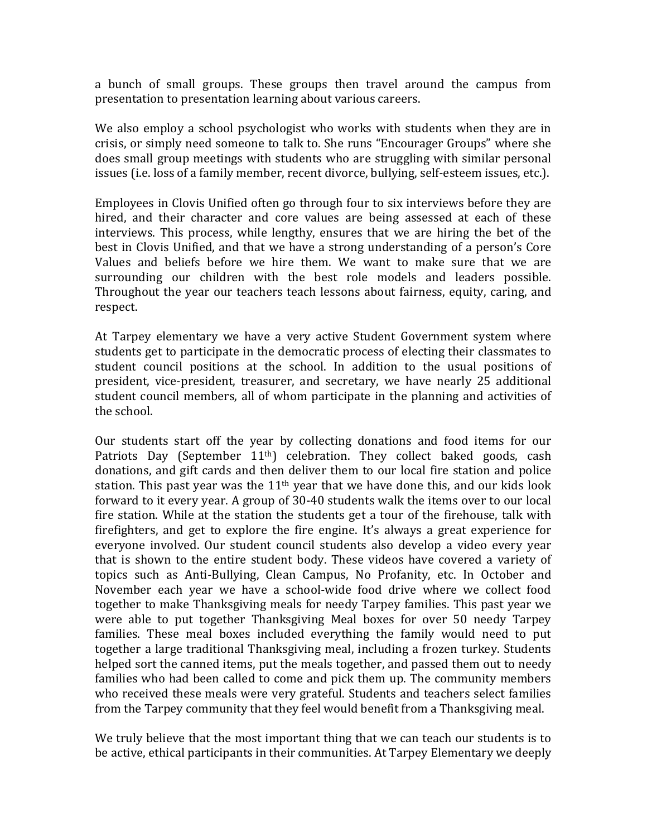a bunch of small groups. These groups then travel around the campus from presentation to presentation learning about various careers.

We also employ a school psychologist who works with students when they are in crisis, or simply need someone to talk to. She runs "Encourager Groups" where she does small group meetings with students who are struggling with similar personal issues (i.e. loss of a family member, recent divorce, bullying, self-esteem issues, etc.).

Employees in Clovis Unified often go through four to six interviews before they are hired, and their character and core values are being assessed at each of these interviews. This process, while lengthy, ensures that we are hiring the bet of the best in Clovis Unified, and that we have a strong understanding of a person's Core Values and beliefs before we hire them. We want to make sure that we are surrounding our children with the best role models and leaders possible. Throughout the year our teachers teach lessons about fairness, equity, caring, and respect.

At Tarpey elementary we have a very active Student Government system where students get to participate in the democratic process of electing their classmates to student council positions at the school. In addition to the usual positions of president, vice-president, treasurer, and secretary, we have nearly 25 additional student council members, all of whom participate in the planning and activities of the school.

Our students start off the year by collecting donations and food items for our Patriots Day (September  $11<sup>th</sup>$ ) celebration. They collect baked goods, cash donations, and gift cards and then deliver them to our local fire station and police station. This past year was the  $11<sup>th</sup>$  year that we have done this, and our kids look forward to it every year. A group of 30-40 students walk the items over to our local fire station. While at the station the students get a tour of the firehouse, talk with firefighters, and get to explore the fire engine. It's always a great experience for everyone involved. Our student council students also develop a video every year that is shown to the entire student body. These videos have covered a variety of topics such as Anti-Bullying, Clean Campus, No Profanity, etc. In October and November each year we have a school-wide food drive where we collect food together to make Thanksgiving meals for needy Tarpey families. This past year we were able to put together Thanksgiving Meal boxes for over 50 needy Tarpey families. These meal boxes included everything the family would need to put together a large traditional Thanksgiving meal, including a frozen turkey. Students helped sort the canned items, put the meals together, and passed them out to needy families who had been called to come and pick them up. The community members who received these meals were very grateful. Students and teachers select families from the Tarpey community that they feel would benefit from a Thanksgiving meal.

We truly believe that the most important thing that we can teach our students is to be active, ethical participants in their communities. At Tarpey Elementary we deeply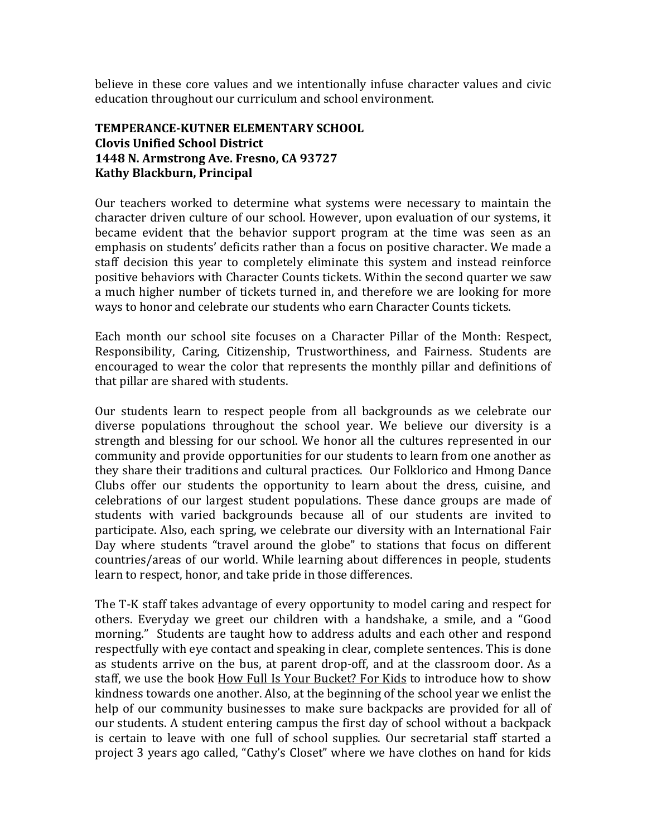believe in these core values and we intentionally infuse character values and civic education throughout our curriculum and school environment.

# **TEMPERANCE-KUTNER ELEMENTARY SCHOOL Clovis Unified School District 1448 N. Armstrong Ave. Fresno, CA 93727 Kathy Blackburn, Principal**

Our teachers worked to determine what systems were necessary to maintain the character driven culture of our school. However, upon evaluation of our systems, it became evident that the behavior support program at the time was seen as an emphasis on students' deficits rather than a focus on positive character. We made a staff decision this year to completely eliminate this system and instead reinforce positive behaviors with Character Counts tickets. Within the second quarter we saw a much higher number of tickets turned in, and therefore we are looking for more ways to honor and celebrate our students who earn Character Counts tickets.

Each month our school site focuses on a Character Pillar of the Month: Respect, Responsibility, Caring, Citizenship, Trustworthiness, and Fairness. Students are encouraged to wear the color that represents the monthly pillar and definitions of that pillar are shared with students.

Our students learn to respect people from all backgrounds as we celebrate our diverse populations throughout the school year. We believe our diversity is a strength and blessing for our school. We honor all the cultures represented in our community and provide opportunities for our students to learn from one another as they share their traditions and cultural practices. Our Folklorico and Hmong Dance Clubs offer our students the opportunity to learn about the dress, cuisine, and celebrations of our largest student populations. These dance groups are made of students with varied backgrounds because all of our students are invited to participate. Also, each spring, we celebrate our diversity with an International Fair Day where students "travel around the globe" to stations that focus on different countries/areas of our world. While learning about differences in people, students learn to respect, honor, and take pride in those differences.

The T-K staff takes advantage of every opportunity to model caring and respect for others. Everyday we greet our children with a handshake, a smile, and a "Good morning." Students are taught how to address adults and each other and respond respectfully with eye contact and speaking in clear, complete sentences. This is done as students arrive on the bus, at parent drop-off, and at the classroom door. As a staff, we use the book How Full Is Your Bucket? For Kids to introduce how to show kindness towards one another. Also, at the beginning of the school year we enlist the help of our community businesses to make sure backpacks are provided for all of our students. A student entering campus the first day of school without a backpack is certain to leave with one full of school supplies. Our secretarial staff started a project 3 years ago called, "Cathy's Closet" where we have clothes on hand for kids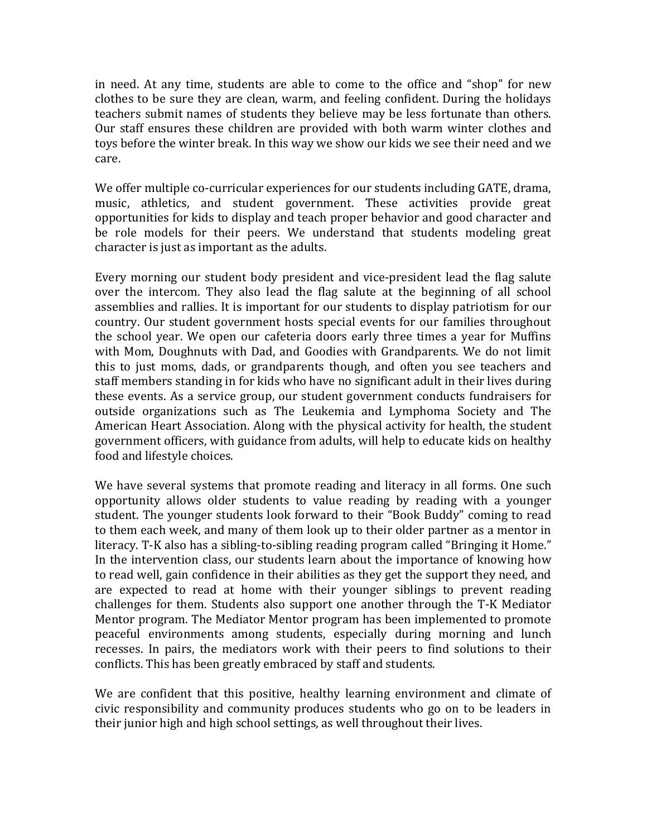in need. At any time, students are able to come to the office and "shop" for new clothes to be sure they are clean, warm, and feeling confident. During the holidays teachers submit names of students they believe may be less fortunate than others. Our staff ensures these children are provided with both warm winter clothes and toys before the winter break. In this way we show our kids we see their need and we care.

We offer multiple co-curricular experiences for our students including GATE, drama, music, athletics, and student government. These activities provide great opportunities for kids to display and teach proper behavior and good character and be role models for their peers. We understand that students modeling great character is just as important as the adults.

Every morning our student body president and vice-president lead the flag salute over the intercom. They also lead the flag salute at the beginning of all school assemblies and rallies. It is important for our students to display patriotism for our country. Our student government hosts special events for our families throughout the school year. We open our cafeteria doors early three times a year for Muffins with Mom, Doughnuts with Dad, and Goodies with Grandparents. We do not limit this to just moms, dads, or grandparents though, and often you see teachers and staff members standing in for kids who have no significant adult in their lives during these events. As a service group, our student government conducts fundraisers for outside organizations such as The Leukemia and Lymphoma Society and The American Heart Association. Along with the physical activity for health, the student government officers, with guidance from adults, will help to educate kids on healthy food and lifestyle choices.

We have several systems that promote reading and literacy in all forms. One such opportunity allows older students to value reading by reading with a younger student. The younger students look forward to their "Book Buddy" coming to read to them each week, and many of them look up to their older partner as a mentor in literacy. T-K also has a sibling-to-sibling reading program called "Bringing it Home." In the intervention class, our students learn about the importance of knowing how to read well, gain confidence in their abilities as they get the support they need, and are expected to read at home with their younger siblings to prevent reading challenges for them. Students also support one another through the T-K Mediator Mentor program. The Mediator Mentor program has been implemented to promote peaceful environments among students, especially during morning and lunch recesses. In pairs, the mediators work with their peers to find solutions to their conflicts. This has been greatly embraced by staff and students.

We are confident that this positive, healthy learning environment and climate of civic responsibility and community produces students who go on to be leaders in their junior high and high school settings, as well throughout their lives.